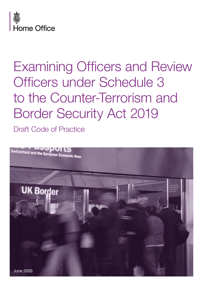

Draft Code of Practice

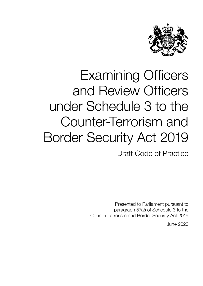

Draft Code of Practice

Presented to Parliament pursuant to paragraph 57(2) of Schedule 3 to the Counter-Terrorism and Border Security Act 2019

June 2020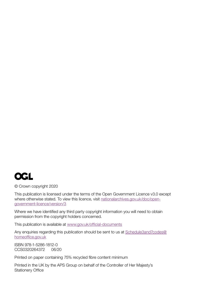

© Crown copyright 2020

This publication is licensed under the terms of the Open Government Licence v3.0 except where otherwise stated. To view this licence, visit [nationalarchives.gov.uk/doc/open](http://www.nationalarchives.gov.uk/doc/open-government-licence/version/3)[government-licence/version/3](http://www.nationalarchives.gov.uk/doc/open-government-licence/version/3)

Where we have identified any third party copyright information you will need to obtain permission from the copyright holders concerned.

This publication is available at [www.gov.uk/official-documents](http://www.gov.uk/official-documents)

Any enquiries regarding this publication should be sent to us at [Schedule3and7codes@](mailto:Schedule3and7codes%40homeoffice.gov.uk?subject=) [homeoffice.gov.uk](mailto:Schedule3and7codes%40homeoffice.gov.uk?subject=)

ISBN 978-1-5286-1812-0 CCS0320264372 06/20

Printed on paper containing 75% recycled fibre content minimum

Printed in the UK by the APS Group on behalf of the Controller of Her Majesty's Stationery Office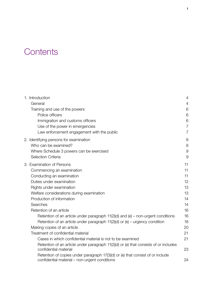# **Contents**

| 1. Introduction                                                                                                                 | $\overline{4}$ |
|---------------------------------------------------------------------------------------------------------------------------------|----------------|
| General                                                                                                                         | $\overline{4}$ |
| Training and use of the powers                                                                                                  | 6              |
| Police officers                                                                                                                 | 6              |
| Immigration and customs officers                                                                                                | 6              |
| Use of the power in emergencies                                                                                                 | $\overline{7}$ |
| Law enforcement engagement with the public                                                                                      | 7              |
| 2. Identifying persons for examination                                                                                          | 8              |
| Who can be examined?                                                                                                            | 8              |
| Where Schedule 3 powers can be exercised                                                                                        | 9              |
| Selection Criteria                                                                                                              | $\Theta$       |
| 3. Examination of Persons                                                                                                       | 11             |
| Commencing an examination                                                                                                       | 11             |
| Conducting an examination                                                                                                       | 11             |
| Duties under examination                                                                                                        | 12             |
| Rights under examination                                                                                                        | 13             |
| Welfare considerations during examination                                                                                       | 13             |
| Production of information                                                                                                       | 14             |
| Searches                                                                                                                        | 14             |
| Retention of an article                                                                                                         | 16             |
| Retention of an article under paragraph $11(2)(d)$ and (e) – non-urgent conditions                                              | 16             |
| Retention of an article under paragraph $11(2)(d)$ or (e) – urgency condition                                                   | 18             |
| Making copies of an article                                                                                                     | 20             |
| Treatment of confidential material                                                                                              | 21             |
| Cases in which confidential material is not to be examined                                                                      | 21             |
| Retention of an article under paragraph 11(2)(d) or (e) that consists of or includes<br>confidential material                   | 23             |
| Retention of copies under paragraph 17(3)(d) or (e) that consist of or include<br>confidential material – non-urgent conditions | 24             |
|                                                                                                                                 |                |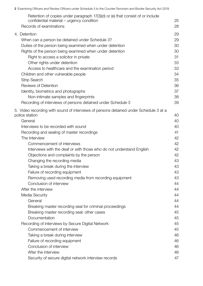|  | 2 Examining Officers and Review Officers under Schedule 3 to the Counter-Terrorism and Border Security Act 2019             |    |
|--|-----------------------------------------------------------------------------------------------------------------------------|----|
|  | Retention of copies under paragraph 17(3)(d) or (e) that consist of or include<br>confidential material – urgency condition | 25 |
|  | Records of examinations                                                                                                     | 28 |
|  | 4. Detention                                                                                                                | 29 |
|  | When can a person be detained under Schedule 3?                                                                             | 29 |
|  | Duties of the person being examined when under detention                                                                    | 30 |
|  | Rights of the person being examined when under detention                                                                    | 30 |
|  | Right to access a solicitor in private                                                                                      | 31 |
|  | Other rights under detention                                                                                                | 33 |
|  | Access to healthcare and the examination period                                                                             | 33 |
|  | Children and other vulnerable people                                                                                        | 34 |
|  | <b>Strip Search</b>                                                                                                         | 35 |
|  | <b>Reviews of Detention</b>                                                                                                 | 36 |
|  | Identity, biometrics and photographs                                                                                        | 37 |
|  | Non-intimate samples and fingerprints                                                                                       | 38 |
|  | Recording of interviews of persons detained under Schedule 3                                                                | 39 |
|  | 5. Video recording with sound of interviews of persons detained under Schedule 3 at a                                       |    |
|  | police station                                                                                                              | 40 |
|  | General                                                                                                                     | 40 |
|  | Interviews to be recorded with sound                                                                                        | 40 |
|  | Recording and sealing of master recordings                                                                                  | 41 |
|  | The Interview                                                                                                               | 42 |
|  | Commencement of interviews                                                                                                  | 42 |
|  | Interviews with the deaf or with those who do not understand English                                                        | 42 |
|  | Objections and complaints by the person                                                                                     | 42 |
|  | Changing the recording media                                                                                                | 43 |
|  | Taking a break during the interview                                                                                         | 43 |
|  | Failure of recording equipment                                                                                              | 43 |
|  | Removing used recording media from recording equipment                                                                      | 43 |
|  | Conclusion of interview                                                                                                     | 44 |
|  | After the interview                                                                                                         | 44 |
|  | Media Security                                                                                                              | 44 |
|  | General                                                                                                                     | 44 |
|  | Breaking master recording seal for criminal proceedings                                                                     | 44 |
|  | Breaking master recording seal: other cases                                                                                 | 45 |
|  | Documentation                                                                                                               | 45 |
|  | Recording of interviews by Secure Digital Network                                                                           | 45 |
|  | Commencement of interview                                                                                                   | 45 |
|  | Taking a break during interview                                                                                             | 46 |
|  | Failure of recording equipment                                                                                              | 46 |
|  | Conclusion of interview                                                                                                     | 46 |
|  | After the interview                                                                                                         | 46 |
|  | Security of secure digital network interview records                                                                        | 47 |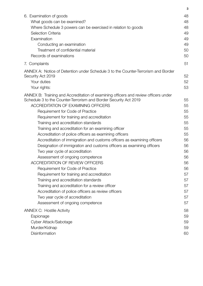|                                                                                                                | 3        |
|----------------------------------------------------------------------------------------------------------------|----------|
| 6. Examination of goods                                                                                        | 48       |
| What goods can be examined?                                                                                    | 48       |
| Where Schedule 3 powers can be exercised in relation to goods                                                  | 48       |
| Selection Criteria                                                                                             | 49       |
| Examination                                                                                                    | 49       |
| Conducting an examination                                                                                      | 49       |
| Treatment of confidential material                                                                             | 50       |
| Records of examinations                                                                                        | 50       |
| 7. Complaints                                                                                                  | 51       |
| ANNEX A: Notice of Detention under Schedule 3 to the Counter-Terrorism and Border                              |          |
| Security Act 2019                                                                                              | 52       |
| Your duties                                                                                                    | 52       |
| Your rights:                                                                                                   | 53       |
| ANNEX B: Training and Accreditation of examining officers and review officers under                            |          |
| Schedule 3 to the Counter-Terrorism and Border Security Act 2019<br><b>ACCREDITATION OF EXAMINING OFFICERS</b> | 55<br>55 |
|                                                                                                                | 55       |
| Requirement for Code of Practice<br>Requirement for training and accreditation                                 | 55       |
| Training and accreditation standards                                                                           | 55       |
| Training and accreditation for an examining officer                                                            | 55       |
| Accreditation of police officers as examining officers                                                         | 55       |
| Accreditation of immigration and customs officers as examining officers                                        | 56       |
| Designation of immigration and customs officers as examining officers                                          | 56       |
| Two year cycle of accreditation                                                                                | 56       |
| Assessment of ongoing competence                                                                               | 56       |
| <b>ACCREDITATION OF REVIEW OFFICERS</b>                                                                        | 56       |
| Requirement for Code of Practice                                                                               | 56       |
| Requirement for training and accreditation                                                                     | 57       |
| Training and accreditation standards                                                                           | 57       |
| Training and accreditation for a review officer                                                                | 57       |
| Accreditation of police officers as review officers                                                            | 57       |
| Two year cycle of accreditation                                                                                | 57       |
| Assessment of ongoing competence                                                                               | 57       |
| <b>ANNEX C: Hostile Activity</b>                                                                               | 58       |
| Espionage                                                                                                      | 59       |
| Cyber Attack/Sabotage                                                                                          | 59       |
| Murder/Kidnap                                                                                                  | 59       |
| Disinformation                                                                                                 | 60       |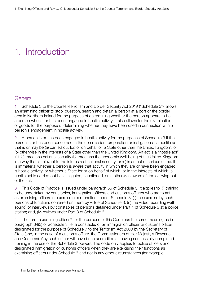# <span id="page-6-0"></span>1. Introduction

# **General**

1. Schedule 3 to the Counter-Terrorism and Border Security Act 2019 ("Schedule 3"), allows an examining officer to stop, question, search and detain a person at a port or the border area in Northern Ireland for the purpose of determining whether the person appears to be a person who is, or has been, engaged in hostile activity. It also allows for the examination of goods for the purpose of determining whether they have been used in connection with a person's engagement in hostile activity.

2. A person is or has been engaged in hostile activity for the purposes of Schedule 3 if the person is or has been concerned in the commission, preparation or instigation of a hostile act that is or may be (a) carried out for, or on behalf of, a State other than the United Kingdom, or (b) otherwise in the interests of a State other than the United Kingdom. An act is a "hostile act" if it (a) threatens national security (b) threatens the economic well-being of the United Kingdom in a way that is relevant to the interests of national security, or (c) is an act of serious crime. It is immaterial whether a person is aware that activity in which they are or have been engaged is hostile activity, or whether a State for or on behalf of which, or in the interests of which, a hostile act is carried out has instigated, sanctioned, or is otherwise aware of, the carrying out of the act.

3. This Code of Practice is issued under paragraph 56 of Schedule 3. It applies to: (i) training to be undertaken by constables, immigration officers and customs officers who are to act as examining officers or exercise other functions under Schedule 3; (ii) the exercise by such persons of functions conferred on them by virtue of Schedule 3; (iii) the video recording (with sound) of interviews by constables of persons detained under Part 1 of Schedule 3 at a police station; and, (iv) reviews under Part 3 of Schedule 3.

4. The term "examining officer"<sup>1</sup> for the purpose of this Code has the same meaning as in paragraph 64(3) of Schedule 3 i.e. a constable, or an immigration officer or customs officer designated for the purpose of Schedule 7 to the Terrorism Act 2000 by the Secretary of State (and, in the case of a customs officer, the Commissioners of Her Majesty's Revenue and Customs). Any such officer will have been accredited as having successfully completed training in the use of the Schedule 3 powers. The code only applies to police officers and designated immigration or customs officers when they are exercising their functions as examining officers under Schedule 3 and not in any other circumstances (for example

<sup>1</sup> For further information please see Annex B.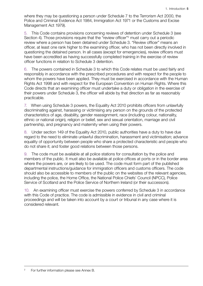where they may be questioning a person under Schedule 7 to the Terrorism Act 2000, the Police and Criminal Evidence Act 1984, Immigration Act 1971 or the Customs and Excise Management Act 1979).

5. This Code contains provisions concerning reviews of detention under Schedule 3 (see Section 4). Those provisions require that the "review officer"<sup>2</sup> must carry out a periodic review where a person has been detained under Schedule 3. "Review officer" means an officer, at least one rank higher to the examining officer, who has not been directly involved in questioning the detained person. In all cases (except for emergencies), review officers must have been accredited as having successfully completed training in the exercise of review officer functions in relation to Schedule 3 detention.

6. The powers contained in Schedule 3 to which this Code relates must be used fairly and responsibly in accordance with the prescribed procedures and with respect for the people to whom the powers have been applied. They must be exercised in accordance with the Human Rights Act 1998 and with respect for the European Convention on Human Rights. Where this Code directs that an examining officer must undertake a duty or obligation in the exercise of their powers under Schedule 3, the officer will abide by that direction as far as reasonably practicable.

7. When using Schedule 3 powers, the Equality Act 2010 prohibits officers from unlawfully discriminating against, harassing or victimising any person on the grounds of the protected characteristics of age, disability, gender reassignment, race (including colour, nationality, ethnic or national origin), religion or belief, sex and sexual orientation, marriage and civil partnership, and pregnancy and maternity when using their powers.

8. Under section 149 of the Equality Act 2010, public authorities have a duty to have due regard to the need to eliminate unlawful discrimination, harassment and victimisation; advance equality of opportunity between people who share a protected characteristic and people who do not share it; and foster good relations between those persons.

9. The code must be available at all police stations for consultation by the police and members of the public. It must also be available at police offices at ports or in the border area where the powers are, or are likely to be used. The code must form part of the published departmental instructions/guidance for immigration officers and customs officers. The code should also be accessible to members of the public on the websites of the relevant agencies, including the police, the Home Office, the National Police Chiefs' Council (NPCC), Police Service of Scotland and the Police Service of Northern Ireland (or their successors).

10. An examining officer must exercise the powers conferred by Schedule 3 in accordance with this Code of practice. The code is admissible in evidence in civil and criminal proceedings and will be taken into account by a court or tribunal in any case where it is considered relevant.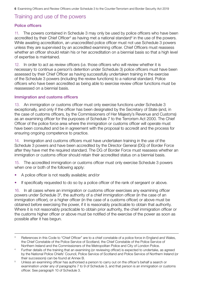# <span id="page-8-0"></span>Training and use of the powers

## Police officers

11. The powers contained in Schedule 3 may only be used by police officers who have been accredited by their Chief Officer<sup>3</sup> as having met a national standard<sup>4</sup> in the use of the powers. While awaiting accreditation, an unaccredited police officer must not use Schedule 3 powers unless they are supervised by an accredited examining officer. Chief Officers must reassess whether an officer should retain his or her accreditation on a biennial basis so that a high level of expertise is maintained.

12. In order to act as review officers (i.e. those officers who will review whether it is necessary to continue a person's detention under Schedule 3) police officers must have been assessed by their Chief Officer as having successfully undertaken training in the exercise of the Schedule 3 powers (including the review functions) to a national standard. Police officers who have been accredited as being able to exercise review officer functions must be reassessed on a biennial basis.

## Immigration and customs officers

13. An immigration or customs officer must only exercise functions under Schedule 3 exceptionally, and only if the officer has been designated by the Secretary of State (and, in the case of customs officers, by the Commissioners of Her Majesty's Revenue and Customs) as an examining officer for the purposes of Schedule 7 to the Terrorism Act 2000. The Chief Officer of the police force area where the immigration or customs officer will operate must have been consulted and be in agreement with the proposal to accredit and the process for ensuring ongoing competence to practice.

14. Immigration and customs officers must have undertaken training in the use of the Schedule 3 powers and have been accredited by the Director General (DG) of Border Force after they have met the required standard. The DG of Border Force must reassess whether an immigration or customs officer should retain their accredited status on a biennial basis.

15. The accredited immigration or customs officer must only exercise Schedule 3 powers when one or both of the following apply:

- A police officer is not readily available; and/or
- If specifically requested to do so by a police officer of the rank of sergeant or above.

16. In all cases where an immigration or customs officer exercises any examining officer powers under Schedule 3<sup>5</sup>, the authority of a chief immigration officer (in the case of an immigration officer), or a higher officer (in the case of a customs officer) or above must be obtained before exercising the power, if it is reasonably practicable to obtain that authority. Where it is not reasonably practicable to obtain prior authority, the chief immigration officer or the customs higher officer or above must be notified of the exercise of the power as soon as possible after it has begun.

<sup>&</sup>lt;sup>3</sup> References in this Code to "Chief Officer" are to a chief constable of a police force in England and Wales, the Chief Constable of the Police Service of Scotland, the Chief Constable of the Police Service of

Northern Ireland and the Commissioners of the Metropolitan Police and City of London Police. 4 Further details of the training that an examining (or reviewing officer) is expected to undertake, as agreed by the National Police Chiefs' Council, Police Service of Scotland and Police Service of Northern Ireland (or their successors) can be found at Annex B.<br>5 Unless an examining officer has authorised a person to carry out on the officer's behalf a search or

examination under any of paragraphs 7 to 9 of Schedule 3, and that person is an immigration or customs officer. See paragraph 10 of Schedule 3.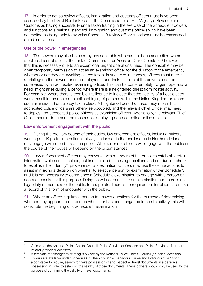<span id="page-9-0"></span>17. In order to act as review officers, immigration and customs officers must have been assessed by the DG of Border Force or the Commissioner of Her Majesty's Revenue and Customs as having successfully undertaken training in the exercise of the Schedule 3 powers and functions to a national standard. Immigration and customs officers who have been accredited as being able to exercise Schedule 3 review officer functions must be reassessed on a biennial basis.

#### Use of the power in emergencies

18. The powers may also be used by any constable who has not been accredited where a police officer of at least the rank of Commander or Assistant Chief Constable<sup>6</sup> believes that this is necessary due to an exceptional urgent operational need. The constable may be given temporary permission to act as an examining officer for the duration of the emergency, whether or not they are awaiting accreditation. In such circumstances, officers must receive a briefing<sup>7</sup> on the powers prior to deployment and their exercise of the powers must be supervised by an accredited examining officer. This can be done remotely. 'Urgent operational need' might arise during a period where there is a heightened threat from hostile activity. For example, where there is credible intelligence to indicate that the activity of a hostile actor would result in the death or significant injury of persons within the United Kingdom or where such an incident has already taken place. A heightened period of threat may mean that accredited police officers are otherwise occupied, and the relevant Chief Officer may need to deploy non-accredited police officers as examining officers. Additionally, the relevant Chief Officer should document the reasons for deploying non-accredited police officers.

#### Law enforcement engagement with the public

19. During the ordinary course of their duties, law enforcement officers, including officers working at UK ports, international railway stations or in the border area in Northern Ireland, may engage with members of the public. Whether or not officers will engage with the public in the course of their duties will depend on the circumstances.

20. Law enforcement officers may converse with members of the public to establish certain information which could include, but is not limited to, asking questions and conducting checks to establish their identity<sup>8</sup>, provenance, or destination. Officers may use these interactions to assist in making a decision on whether to select a person for examination under Schedule 3 and it is not necessary to commence a Schedule 3 examination to engage with a person or conduct checks for this purpose. Doing so will not constitute an examination and there is no legal duty of members of the public to cooperate. There is no requirement for officers to make a record of this form of encounter with the public.

21. Where an officer requires a person to answer questions for the purpose of determining whether they appear to be a person who is, or has been, engaged in hostile activity, this will constitute the beginning of a Schedule 3 examination.

<sup>6</sup> Officers of the National Police Chiefs' Council, Police Service of Scotland and Police Service of Northern

Ireland (or their successors).<br>
2 A template for emergency briefing is owned by the National Police Chiefs' Council (or their successors).<br>
<sup>8</sup> Powers are available under Schedule 8 to the Anti-Social Behaviour, Crime and

a constable to require, search for, take possession of and inspect all travel documents in a person's possession in order to establish the validity of those documents. These powers should only be used for the purpose of confirming the validity of travel documents.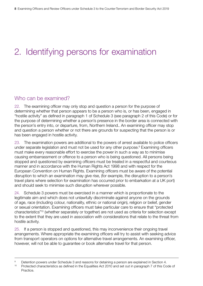# <span id="page-10-0"></span>2. Identifying persons for examination

# Who can be examined?

22. The examining officer may only stop and question a person for the purpose of determining whether that person appears to be a person who is, or has been, engaged in "hostile activity" as defined in paragraph 1 of Schedule 3 (see paragraph 2 of this Code) or for the purpose of determining whether a person's presence in the border area is connected with the person's entry into, or departure, from, Northern Ireland.. An examining officer may stop and question a person whether or not there are grounds for suspecting that the person is or has been engaged in hostile activity.

23. The examination powers are additional to the powers of arrest available to police officers under separate legislation and must not be used for any other purpose.<sup>9</sup> Examining officers must make every reasonable effort to exercise the power in such a way as to minimise causing embarrassment or offence to a person who is being questioned. All persons being stopped and questioned by examining officers must be treated in a respectful and courteous manner and in accordance with the Human Rights Act 1998 and with respect for the European Convention on Human Rights. Examining officers must be aware of the potential disruption to which an examination may give rise, (for example, the disruption to a person's travel plans where selection for examination has occurred prior to embarkation at a UK port) and should seek to minimise such disruption wherever possible.

24. Schedule 3 powers must be exercised in a manner which is proportionate to the legitimate aim and which does not unlawfully discriminate against anyone on the grounds of age, race (including colour, nationality, ethnic or national origin), religion or belief, gender or sexual orientation. Examining officers must take particular care to ensure that "protected characteristics"10 (whether separately or together) are not used as criteria for selection except to the extent that they are used in association with considerations that relate to the threat from hostile activity.

25. If a person is stopped and questioned, this may inconvenience their ongoing travel arrangements. Where appropriate the examining officers will try to assist with seeking advice from transport operators on options for alternative travel arrangements. An examining officer, however, will not be able to guarantee or book alternative travel for that person.

<sup>&</sup>lt;sup>9</sup> Detention powers under Schedule 3 and reasons for detaining a person are explained in Section 4.<br><sup>10</sup> Protected characteristics as defined in the Equalities Act 2010 and set out in paragraph 7 of this Code of

Practice.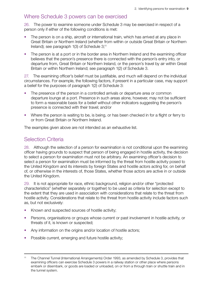# <span id="page-11-0"></span>Where Schedule 3 powers can be exercised

26. The power to examine someone under Schedule 3 may be exercised in respect of a person only if either of the following conditions is met:

- The person is on a ship, aircraft or international train, which has arrived at any place in Great Britain or Northern Ireland (whether from within or outside Great Britain or Northern Ireland); see paragraph 1(3) of Schedule 3;<sup>11</sup>
- The person is at a port or in the border area in Northern Ireland and the examining officer believes that the person's presence there is connected with the person's entry into, or departure from, Great Britain or Northern Ireland, or the person's travel by air within Great Britain or within Northern Ireland; see paragraph 1(2) of Schedule 3.

27. The examining officer's belief must be justifiable, and much will depend on the individual circumstances. For example, the following factors, if present in a particular case, may support a belief for the purposes of paragraph 1(2) of Schedule 3:

- The presence of the person in a controlled arrivals or departure area or common departure lounge at a port. Presence in such areas alone, however, may not be sufficient to form a reasonable basis for a belief without other indicators suggesting the person's presence is connected with their travel; and/or
- Where the person is waiting to be, is being, or has been checked in for a flight or ferry to or from Great Britain or Northern Ireland.

The examples given above are not intended as an exhaustive list.

# Selection Criteria

28. Although the selection of a person for examination is not conditional upon the examining officer having grounds to suspect that person of being engaged in hostile activity, the decision to select a person for examination must not be arbitrary. An examining officer's decision to select a person for examination must be informed by the threat from hostile activity posed to the United Kingdom and its interests by foreign States and hostile actors acting for, on behalf of, or otherwise in the interests of, those States, whether those actors are active in or outside the United Kingdom.

29. It is not appropriate for race, ethnic background, religion and/or other "protected characteristics" (whether separately or together) to be used as criteria for selection except to the extent that they are used in association with considerations that relate to the threat from hostile activity. Considerations that relate to the threat from hostile activity include factors such as, but not exclusively:

- Known and suspected sources of hostile activity:
- Persons, organisations or groups whose current or past involvement in hostile activity, or threats of it, is known or suspected;
- Any information on the origins and/or location of hostile actors;
- Possible current, emerging and future hostile activity;

<sup>11</sup> The Channel Tunnel (International Arrangements) Order 1993, as amended by Schedule 3, provides that examining officers can exercise Schedule 3 powers in a railway station or other place where persons embark or disembark, or goods are loaded or unloaded, on or from a through train or shuttle train and in the tunnel system.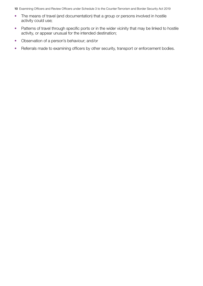- The means of travel (and documentation) that a group or persons involved in hostile activity could use;
- Patterns of travel through specific ports or in the wider vicinity that may be linked to hostile activity, or appear unusual for the intended destination;
- Observation of a person's behaviour; and/or
- Referrals made to examining officers by other security, transport or enforcement bodies.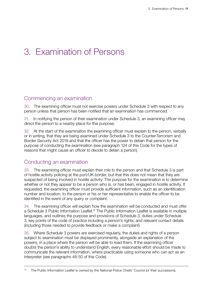# <span id="page-13-0"></span>3. Examination of Persons

# Commencing an examination

30. The examining officer must not exercise powers under Schedule 3 with respect to any person unless that person has been notified that an examination has commenced.

31. In notifying the person of their examination under Schedule 3, an examining officer may direct the person to a nearby place for this purpose.

32. At the start of the examination the examining officer must explain to the person, verbally or in writing, that they are being examined under Schedule 3 to the Counter-Terrorism and Border Security Act 2019 and that the officer has the power to detain that person for the purpose of conducting the examination (see paragraph 124 of this Code for the types of reasons that might cause an officer to decide to detain a person).

# Conducting an examination

33. The examining officer must explain their role to the person and that Schedule 3 is part of hostile activity policing at the port/UK border, but that this does not mean that they are suspected of being involved in hostile activity. The purpose for the examination is to determine whether or not they appear to be a person who is, or has been, engaged in hostile activity. If requested, the examining officer must provide sufficient information, such as an identification number and location, to the person or his or her representative to enable the officer to be identified in the event of any query or complaint.

34. The examining officer will explain how the examination will be conducted and must offer a Schedule 3 Public Information Leaflet.<sup>12</sup> The Public Information Leaflet is available in multiple languages, and outlines the purpose and provisions of Schedule 3, duties under Schedule 3, key points of the code of practice including a person's rights, and relevant contact details (including those needed to provide feedback or make a complaint).

35. Where Schedule 3 powers are exercised regularly, the duties and rights of a person subject to examination must be displayed prominently, alongside an explanation of the powers, in a place where the person will be able to read them. If the examining officer doubts the person's ability to understand English, every reasonable effort should be made to communicate the relevant information, where practicable using someone who can act as an interpreter (see paragraphs 48-50 of this Code).

<sup>&</sup>lt;sup>12</sup> The Public Information Leaflet is owned by the National Police Chiefs' Council (or their successors).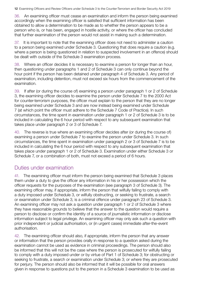<span id="page-14-0"></span>36. An examining officer must cease an examination and inform the person being examined accordingly when the examining officer is satisfied that sufficient information has been obtained to allow a determination to be made as to whether the person appears to be a person who is, or has been, engaged in hostile activity, or where the officer has concluded that further examination of the person would not assist in making such a determination.

37. It is important to note that the examining officer does not need to administer a caution to a person being examined under Schedule 3. Questioning that does require a caution (e.g. where a person is being questioned in relation to suspected involvement in an offence) should be dealt with outside of the Schedule 3 examination process.

38. Where an officer decides it is necessary to examine a person for longer than an hour, then questioning under paragraphs 1 and 2 of Schedule 3 can only continue beyond the hour point if the person has been detained under paragraph 4 of Schedule 3. Any period of examination, including detention, must not exceed six hours from the commencement of the examination.

39. If after (or during the course of) examining a person under paragraph 1 or 2 of Schedule 3, the examining officer decides to examine the person under Schedule 7 to the 2000 Act for counter-terrorism purposes, the officer must explain to the person that they are no longer being examined under Schedule 3 and are now instead being examined under Schedule 7 (at which point the officer must adhere to the Schedule 7 Code of Practice). In such circumstances, the time spent in examination under paragraph 1 or 2 of Schedule 3 is to be included in calculating the 6 hour period with respect to any subsequent examination that takes place under paragraph 2 or 3 of Schedule 7.

40. The reverse is true where an examining officer decides after (or during the course of) examining a person under Schedule 7 to examine the person under Schedule 3. In such circumstances, the time spent in examination under paragraph 2 or 3 of Schedule 7 is to be included in calculating the 6 hour period with respect to any subsequent examination that takes place under paragraph 1 or 2 of Schedule 3. Examination under either Schedule 3 or Schedule 7, or a combination of both, must not exceed a period of 6 hours.

# Duties under examination

41. The examining officer must inform the person being examined that Schedule 3 places them under a duty to give the officer any information in his or her possession which the officer requests for the purposes of the examination (see paragraph 3 of Schedule 3). The examining officer may, if appropriate, inform the person that wilfully failing to comply with a duty imposed under Schedule 3, or wilfully obstructing, or seeking to frustrate, a search or examination under Schedule 3, is a criminal offence under paragraph 23 of Schedule 3. An examining officer may not ask a question under paragraph 1 or 2 of Schedule 3 where they have reasonable grounds to believe that the answer to the question would require a person to disclose or confirm the identity of a source of journalistic information or disclose information subject to legal privilege. An examining officer may only ask such a question with prior independent or judicial authorisation, or (in urgent cases) immediate after-the-event authorisation.

42. The examining officer should also, if appropriate, inform the person that any answer or information that the person provides orally in response to a question asked during the examination cannot be used as evidence in criminal proceedings. The person should also be informed that this will not be the case where the person is prosecuted for wilfully failing to comply with a duty imposed under or by virtue of Part 1 of Schedule 3; for obstructing or seeking to frustrate, a search or examination under Schedule 3; or where they are prosecuted for perjury. The person should also be informed that it will be possible for oral answers given in response to questions put to the person in a Schedule 3 examination to be used as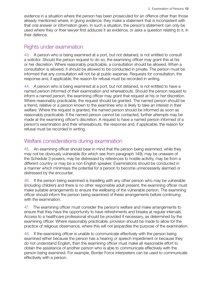<span id="page-15-0"></span>evidence in a situation where the person has been prosecuted for an offence other than those already mentioned where, in giving evidence, they make a statement that is inconsistent with that oral answer or information given. In such a situation, the person's statement can only be used where they or their lawyer first adduces it as evidence, or asks a question relating to it, in their defence.

# Rights under examination

43. A person who is being examined at a port, but not detained, is not entitled to consult a solicitor. Should the person request to do so, the examining officer may grant this at his or her discretion. Where reasonably practicable, a consultation should be allowed. When a consultation is allowed, it should be allowed to be conducted in private. The person must be informed that any consultation will not be at public expense. Requests for consultation, the response and, if applicable, the reason for refusal must be recorded in writing.

44. A person who is being examined at a port, but not detained, is not entitled to have a named person informed of their examination and whereabouts. Should the person request to inform a named person, the examining officer may grant that request at his or her discretion. Where reasonably practicable, the request should be granted. The named person should be a friend, relative or a person known to the examinee who is likely to take an interest in their welfare. Where the request is granted, the named person should be informed as soon as reasonably practicable. If the named person cannot be contacted, further attempts may be made at the examining officer's discretion. A request to have a named person informed of a person's examination and their whereabouts, the response and, if applicable, the reason for refusal must be recorded in writing.

# Welfare considerations during examination

45. An examining officer should bear in mind that the person being examined, while they may not be obviously vulnerable (for which see from paragraph 149), may be unaware of the Schedule 3 powers, may be distressed by references to hostile activity, may be from a different country or may be a non-English speaker. Examinations should be conducted in a manner which minimises the potential for a person to become unnecessarily alarmed or distressed by the encounter.

46. If the person being examined is travelling with any other person who may be vulnerable (including children) and there is no other responsible adult present, the examining officer must make suitable arrangements to ensure the wellbeing of the vulnerable person. The examining officer should inform the person being examined of these arrangements before continuing with the examination.

47. The examining officer must consider the person's welfare and make arrangements to ensure that they have the opportunity to have refreshments and breaks at regular intervals. Access to a healthcare professional should be provided if necessary, as determined by the examining officer. Where reasonably practicable, provision should be made to allow for the practice of religious observance, where this will not jeopardise the purpose of the examination.

48. If the examining officer is unable to communicate effectively with the person being examined either because the person has a hearing or speech impediment or because they do not understand English, then the examining officer must make all reasonable effort to obtain the assistance of another person who is able to communicate effectively with the person being examined. For example, Border Force interpreters can be used to communicate effectively with a person.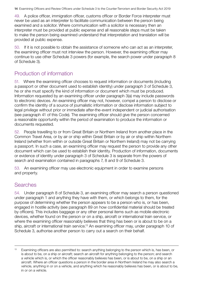<span id="page-16-0"></span>49. A police officer, immigration officer, customs officer or Border Force interpreter must never be used as an interpreter to facilitate communication between the person being examined and a solicitor. Where communication with a solicitor is necessary then an interpreter must be provided at public expense and all reasonable steps must be taken to make the person being examined understand that interpretation and translation will be provided at public expense.

50. If it is not possible to obtain the assistance of someone who can act as an interpreter, the examining officer must not interview the person. However, the examining officer may continue to use other Schedule 3 powers (for example, the search power under paragraph 8 of Schedule 3).

# Production of information

51. Where the examining officer chooses to request information or documents (including a passport or other document used to establish identity) under paragraph 3 of Schedule 3, he or she must specify the kind of information or document which must be produced. Information requested by an examining officer under paragraph 3(a) may include passwords to electronic devices. An examining officer may not, however, compel a person to disclose or confirm the identity of a source of journalistic information or disclose information subject to legal privilege without prior or immediate after-the-event independent or judicial authorisation (see paragraph 41 of this Code). The examining officer should give the person concerned a reasonable opportunity within the period of examination to produce the information or documents requested.

52. People travelling to or from Great Britain or Northern Ireland from another place in the Common Travel Area, or by air or ship within Great Britain or by air or ship within Northern Ireland (whether from within or outside Great Britain or Northern Ireland) may not be carrying a passport. In such a case, an examining officer may request the person to provide any other document which can be used to establish their identity. Production of information, documents or evidence of identity under paragraph 3 of Schedule 3 is separate from the powers of search and examination contained in paragraphs 7, 8 and 9 of Schedule 3.

53. An examining officer may use electronic equipment in order to examine persons and property.

# Searches

54. Under paragraph 8 of Schedule 3, an examining officer may search a person questioned under paragraph 1 and anything they have with them, or which belongs to them, for the purpose of determining whether the person appears to be a person who is, or has been, engaged in hostile activity (see paragraph 89 on how confidential material should be treated by officers). This includes baggage or any other personal items such as mobile electronic devices, whether found on the person or on a ship, aircraft or international train service, or where the examining officer reasonably believes that thing has been or is about to be on a ship, aircraft or international train service.<sup>13</sup> An examining officer may, under paragraph 10 of Schedule 3, authorise another person to carry out a search on their behalf.

<sup>&</sup>lt;sup>13</sup> Examining officers are also permitted to: search anything belonging to the person which is, has been, or is about to be, on a ship or aircraft; search an aircraft for anything belonging to the person; and search a vehicle which is, or which the officer reasonably believes has been, or is about to be, on a ship or an aircraft. Where an officer questions a person in the border area in Northern Ireland he may also search a vehicle, anything in or on a vehicle, and anything which he reasonably believes has been, or is about to be, in or on a vehicle.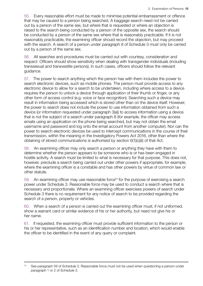55. Every reasonable effort must be made to minimise potential embarrassment or offence that may be caused to a person being searched. A baggage search need not be carried out by a person of the same sex, but where that is requested or where an objection is raised to the search being conducted by a person of the opposite sex, the search should be conducted by a person of the same sex where that is reasonably practicable. If it is not reasonably practicable, the examining officer should record the objection, but may proceed with the search. A search of a person under paragraph 8 of Schedule 3 must only be carried out by a person of the same sex.

56. All searches and procedures must be carried out with courtesy, consideration and respect. Officers should show sensitivity when dealing with transgender individuals (including transsexual and transvestite persons). In such cases, officers should follow the relevant guidance.

57. The power to search anything which the person has with them includes the power to search electronic devices, such as mobile phones. The person must provide access to any electronic device to allow for a search to be undertaken, including where access to a device requires the person to unlock a device through application of their thumb or finger, or any other form of access control (e.g. voice or face recognition). Searching such a device may result in information being accessed which is stored other than on the device itself. However, the power to search does not include the power to use information obtained from such a device (or information requested under paragraph 3(a)) to access information using a device that is not the subject of a search under paragraph 8 (for example, the officer may access emails using an application on the phone being searched, but may not obtain the email username and password and log onto the email account from another computer). Nor can the power to search electronic devices be used to intercept communications in the course of their transmission, within the meaning in the Investigatory Powers Act 2016, other than where the obtaining of stored communications is authorised by section 6(1)(c)(ii) of that Act.

58. An examining officer may only search a person or anything they have with them to determine whether the person appears to be someone who is or has been engaged in hostile activity. A search must be limited to what is necessary for that purpose. This does not, however, preclude a search being carried out under other powers if appropriate, for example, where the examining officer is a constable and has other powers by virtue of common law or other statute.

59. An examining officer may use reasonable force<sup>14</sup> for the purpose of exercising a search power under Schedule 3. Reasonable force may be used to conduct a search where that is necessary and proportionate. Where an examining officer exercises powers of search under Schedule 3 there is no requirement for any notice of search to be provided regarding the search of a person, property or vehicles.

60. When a search of a person is carried out the examining officer must, if not uniformed, show a warrant card or similar evidence of his or her authority, but need not give his or her name.

61. If requested, the examining officer must provide sufficient information to the person or his or her representative, such as an identification number and location, which would enable the officer to be identified in the event of any query or complaint.

<sup>&</sup>lt;sup>14</sup> See paragraph 59 of Schedule 3. Reasonable force must not be used when questioning a person under paragraph 1 or 2 of Schedule 3.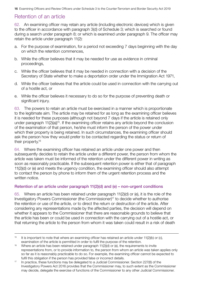# <span id="page-18-0"></span>Retention of an article

62. An examining officer may retain any article (including electronic devices) which is given to the officer in accordance with paragraph 3(d) of Schedule 3; which is searched or found during a search under paragraph 8; or which is examined under paragraph 9. The officer may retain the article under paragraph 11(2):

- a. For the purpose of examination, for a period not exceeding 7 days beginning with the day on which the retention commences,
- b. While the officer believes that it may be needed for use as evidence in criminal proceedings,
- c. While the officer believes that it may be needed in connection with a decision of the Secretary of State whether to make a deportation order under the Immigration Act 1971,
- d. While the officer believes that the article could be used in connection with the carrying out of a hostile act, or
- e. While the officer believes it necessary to do so for the purpose of preventing death or significant injury.

63. The powers to retain an article must be exercised in a manner which is proportionate to the legitimate aim. The article may be retained for as long as the examining officer believes it is needed for these purposes (although not beyond 7 days if the article is retained only under paragraph 11(2)(a))<sup>15</sup>. If the examining officer retains any article beyond the conclusion of the examination of that person, he/she must inform the person of the power under which their property is being retained. In such circumstances, the examining officer should ask the person how they would prefer to be contacted regarding the status or return of their property.16

64. Where the examining officer has retained an article under one power and then subsequently decides to retain the article under a different power, the person from whom the article was taken must be informed of the retention under the different power in writing as soon as reasonably practicable. If the subsequent retention power is either that of paragraph 11(2)(d) or (e) and meets the urgency condition, the examining officer should also attempt to contact the person by phone to inform them of the urgent retention process and the written notice.

### Retention of an article under paragraph 11(2)(d) and (e) – non-urgent conditions

65. Where an article has been retained under paragraph 11(2)(d) or (e), it is the role of the Investigatory Powers Commissioner (the Commissioner)17 to decide whether to authorise the retention or use of the article, or to direct the return or destruction of the article. After considering any representations made by the affected parties, the decision will depend on whether it appears to the Commissioner that there are reasonable grounds to believe that the article has been or could be used in connection with the carrying out of a hostile act, or that returning the article to the person from whom it was taken could result in a risk of death

<sup>&</sup>lt;sup>15</sup> It is important to note that where an examining officer has retained an article under 11(2)(b) or (c),

examination of the article is permitted in order to fulfil the purpose of the retention.<br><sup>16</sup> Where an article has been retained under paragraph 11(2)(d) or (e), the requirements to invite representations from, or to provide information to, the person from whom an article was taken applies only so far as it is reasonably practicable to do so. For example, the examining officer cannot be expected to

fulfil this obligation if the person has provided false or incorrect details.<br><sup>17</sup> In practice, these functions may be delegated to a Judicial Commissioner. Section 227(8) of the Investigatory Powers Act 2016 provides that the Commissioner may, to such extent as the Commissioner may decide, delegate the exercise of functions of the Commissioner to any other Judicial Commissioner.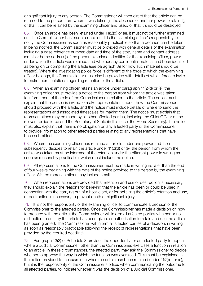or significant injury to any person. The Commissioner will then direct that the article can be returned to the person from whom it was taken (in the absence of another power to retain it); or that it can be retained by the examining officer and used, or that it should be destroyed.

66. Once an article has been retained under 11(2)(d) or (e), it must not be further examined until the Commissioner has made a decision. It is the examining officer's responsibility to notify the Commissioner as soon as reasonably practicable so that a decision can be taken. In being notified, the Commissioner must be provided with general details of the examination, including a case reference number, date and time of the stop, name and contact address (email or home address) of the person examined, identifier for the examining officer, power under which the article was retained and whether any confidential material had been identified as being on or comprising the article (see paragraph 89 for how such material should be treated). Where the investigating police force is different to the force to which the examining officer belongs, the Commissioner must also be provided with details of which force to invite to make representations regarding retention of the article.

67. When an examining officer retains an article under paragraph 11(2)(d) or (e), the examining officer must provide a notice to the person from whom the article was taken to inform them of the role of the Commissioner in relation to the article. The notice must explain that the person is invited to make representations about how the Commissioner should proceed with the article, and the notice must include details of where to send the representations and associated timescales for making them. The notice must explain that representations may be made by all other affected parties, including the Chief Officer of the relevant police force and the Secretary of State (in this case, the Home Secretary). The notice must also explain that there is no obligation on any affected party or the Commissioner to provide information to other affected parties relating to any representations that have been submitted.

68. Where the examining officer has retained an article under one power and then subsequently decides to retain the article under 11(2)(d) or (e), the person from whom the article was taken must be informed of the retention under the different power in writing as soon as reasonably practicable, which must include the notice.

69. All representations to the Commissioner must be made in writing no later than the end of four weeks beginning with the date of the notice provided to the person by the examining officer. Written representations may include email.

70. When representations are provided that retention and use or destruction is necessary, they should explain the reasons for believing that the article has been or could be used in connection with the carrying out of a hostile act, or for believing the article's retention and use, or destruction is necessary to prevent death or significant injury.

71. It is not the responsibility of the examining officer to communicate a decision of the Commissioner to the affected parties. Once the Commissioner has made a decision on how to proceed with the article, the Commissioner will inform all affected parties whether or not a direction to destroy the article has been given, or authorisation to retain and use the article has been granted. The Commissioner will inform all affected parties of a decision, in writing, as soon as reasonably practicable following the receipt of representations (that have been provided by the required deadline).

72. Paragraph 13(2) of Schedule 3 provides the opportunity for an affected party to appeal where a Judicial Commissioner, other than the Commissioner, exercises a function in relation to an article. In these circumstances, the affected party may ask the Commissioner to decide whether to approve the way in which the function was exercised. This must be explained in the notice provided to the examinee where an article has been retained under 11(2)(d) or (e), but it is the responsibility of the Commissioner's office, when communicating the outcome to all affected parties, to indicate whether it was the decision of a Judicial Commissioner.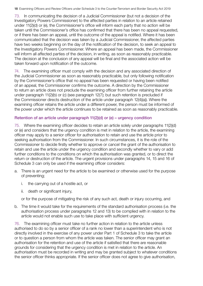<span id="page-20-0"></span>73. In communicating the decision of a Judicial Commissioner (but not a decision of the Investigatory Powers Commissioner) to the affected parties in relation to an article retained under 11(2)(d) or (e), the Commissioner's office will inform each party that no action will be taken until the Commissioner's office has confirmed that there has been no appeal requested, or if there has been an appeal, until the outcome of the appeal is notified. Where it has been communicated that the decision was taken by a Judicial Commissioner, the affected parties have two weeks beginning on the day of the notification of the decision, to seek an appeal to the Investigatory Powers Commissioner. Where an appeal has been made, the Commissioner will inform all affected parties of the decision, in writing, as soon as reasonably practicable. The decision at the conclusion of any appeal will be final and the associated action will be taken forward upon notification of the outcome.

74. The examining officer must comply with the decision and any associated direction of the Judicial Commissioner as soon as reasonably practicable, but only following notification by the Commissioner's office that no appeal has been requested or having been notified of an appeal, the Commissioner confirms the outcome. A direction by the Commissioner to return an article does not preclude the examining officer from further retaining the article under paragraph 11(2)(b) or (c) (see paragraph 12(7); but such retention is precluded if the Commissioner directs destruction of the article under paragraph 12(4)(a)). Where the examining officer retains the article under a different power, the person must be informed of the power under which the article continues to be retained as soon as reasonably practicable.

#### Retention of an article under paragraph 11(2)(d) or (e) – urgency condition

75. Where the examining officer decides to retain an article solely under paragraphs 11(2)(d) or (e) and considers that the urgency condition is met in relation to the article, the examining officer may apply to a senior officer for authorisation to retain and use the article prior to seeking authorisation from the Commissioner. In such circumstances, it is the role of the Commissioner to decide firstly whether to approve or cancel the grant of the authorisation to retain and use the article under the urgency condition and secondly whether to vary or add further conditions to the conditions on which the authorisation was granted, or to direct the return or destruction of the article. The urgent provisions under paragraphs 14, 15 and 16 of Schedule 3 can only be used if the examining officer considers:

- a. There is an urgent need for the article to be examined or otherwise used for the purpose of preventing;
	- i. the carrying out of a hostile act, or
	- ii. death or significant injury,

or for the purpose of mitigating the risk of any such act, death or injury occurring, and

b. The time it would take for the requirements of the standard authorisation process (i.e. the authorisation process under paragraphs 12 and 13) to be complied with in relation to the article would not enable such use to take place with sufficient urgency.

76. The examining officer must take no further action in relation to the article unless authorised to do so by a senior officer of a rank no lower than a superintendent who is not directly involved in the exercise of any power under Part 1 of Schedule 3 to take the article or to question a person from whom the article was taken. The senior officer may grant an authorisation for the retention and use of the article if satisfied that there are reasonable grounds for considering that the urgency condition is met in relation to the article. An authorisation must be recorded in writing and may be granted subject to whatever conditions the senior officer thinks appropriate. If the senior officer does not agree to give authorisation,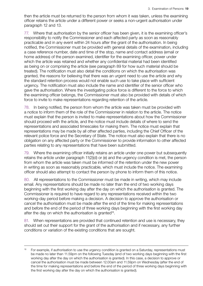then the article must be returned to the person from whom it was taken, unless the examining officer retains the article under a different power or seeks a non-urgent authorisation under paragraph 12 and 13.

77. Where that authorisation by the senior officer has been given, it is the examining officer's responsibility to notify the Commissioner and each affected party as soon as reasonably practicable and in any event within 24 hours after the grant of the authorisation. In being notified, the Commissioner must be provided with general details of the examination, including a case reference number, date and time of the stop, name and contact address (email or home address) of the person examined, identifier for the examining officer, power under which the article was retained and whether any confidential material had been identified as being on or comprising the article (see paragraph 89 for how such material should be treated). The notification must also detail the conditions on which the authorisation was granted, the reasons for believing that there was an urgent need to use the article and why the standard retention process would not enable such use to take place with sufficient urgency. The notification must also include the name and identifier of the senior officer who gave the authorisation. Where the investigating police force is different to the force to which the examining officer belongs, the Commissioner must also be provided with details of which force to invite to make representations regarding retention of the article.

78. In being notified, the person from whom the article was taken must be provided with a notice to inform them of the role of the Commissioner in relation to the article. The notice must explain that the person is invited to make representations about how the Commissioner should proceed with the article, and the notice must include details of where to send the representations and associated timescales for making them. The notice must explain that representations may be made by all other affected parties, including the Chief Officer of the relevant police force and the Secretary of State. The notice must also explain that there is no obligation on any affected party or the Commissioner to provide information to other affected parties relating to any representations that have been submitted.

79. Where the examining officer initially retains an article under one power but subsequently retains the article under paragraph 11(2)(d) or (e) and the urgency condition is met, the person from whom the article was taken must be informed of the retention under the new power in writing as soon as reasonably practicable, which must include the notice. The examining officer should also attempt to contact the person by phone to inform them of this notice.

80. All representations to the Commissioner must be made in writing, which may include email. Any representations should be made no later than the end of two working days beginning with the first working day after the day on which the authorisation is granted. The Commissioner is required to have regard to any representations received within the two working-day period before making a decision. A decision to approve the authorisation or cancel the authorisation must be made after the end of the time for making representations and before the end of the period of three working days beginning with the first working day after the day on which the authorisation is granted<sup>18</sup>.

81. When representations are provided that continued retention and use is necessary, they should set out their support for the grant of the authorisation and if necessary, any further conditions or variation of the existing conditions that are sought.

<sup>&</sup>lt;sup>18</sup> For example, if authorisation to use the urgency condition is granted on a Saturday, representations must be made no later than 11.59pm on the following Tuesday (end of two working days beginning with the first working day after the day on which the authorisation is granted). In this case, a decision to approve or cancel the authorisation must be made between 12.00am and 11.59pm on Wednesday (after the end of the time for making representations and before the end of the period of three working days beginning with the first working day after the day on which the authorisation is granted).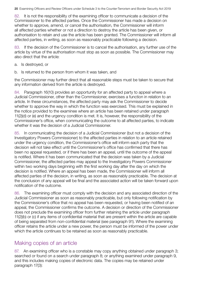<span id="page-22-0"></span>82. It is not the responsibility of the examining officer to communicate a decision of the Commissioner to the affected parties. Once the Commissioner has made a decision on whether to approve, amend, or cancel the authorisation, the Commissioner will inform all affected parties whether or not a direction to destroy the article has been given, or authorisation to retain and use the article has been granted. The Commissioner will inform all affected parties, in writing, as soon as reasonably practicable following a decision.

83. If the decision of the Commissioner is to cancel the authorisation, any further use of the article by virtue of the authorisation must stop as soon as possible. The Commissioner may also direct that the article:

- a. Is destroyed, or
- b. Is returned to the person from whom it was taken, and

the Commissioner may further direct that all reasonable steps must be taken to secure that any information derived from the article is destroyed.

84. Paragraph 16(10) provides an opportunity for an affected party to appeal where a Judicial Commissioner, other than the Commissioner, exercises a function in relation to an article. In these circumstances, the affected party may ask the Commissioner to decide whether to approve the way in which the function was exercised. This must be explained in the notice provided to the examinee where an article has been retained under paragraph 11(2)(d) or (e) and the urgency condition is met. It is, however, the responsibility of the Commissioner's office, when communicating the outcome to all affected parties, to indicate whether it was the decision of a Judicial Commissioner.

85. In communicating the decision of a Judicial Commissioner (but not a decision of the Investigatory Powers Commissioner) to the affected parties in relation to an article retained under the urgency condition, the Commissioner's office will inform each party that the decision will not take effect until the Commissioner's office has confirmed that there has been no appeal requested, or if there has been an appeal, until the outcome of the appeal is notified. Where it has been communicated that the decision was taken by a Judicial Commissioner, the affected parties may appeal to the Investigatory Powers Commissioner within two working days beginning with the first working day after the day on which the decision is notified. Where an appeal has been made, the Commissioner will inform all affected parties of the decision, in writing, as soon as reasonably practicable. The decision at the conclusion of any appeal will be final and the associated action will be taken forward upon notification of the outcome.

86. The examining officer must comply with the decision and any associated direction of the Judicial Commissioner as soon as reasonably practicable, but only following notification by the Commissioner's office that no appeal has been requested, or having been notified of an appeal, the Commissioner confirms the outcome. A decision or direction of the Commissioner does not preclude the examining officer from further retaining the article under paragraph 11(2)(b) or (c) if any items of confidential material that are present within the article are capable of being separated from non-confidential material (see paragraph 91). Where the examining officer retains the article under a new power, the person must be informed of the power under which the article continues to be retained as soon as reasonably practicable.

# Making copies of an article

87. An examining officer who is a constable may copy anything obtained under paragraph 3; searched or found on a search under paragraph 8; or anything examined under paragraph 9, and this includes making copies of electronic data. The copies may be retained under paragraph 17(3):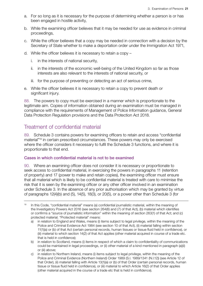- <span id="page-23-0"></span>a. For so long as it is necessary for the purpose of determining whether a person is or has been engaged in hostile activity,
- b. While the examining officer believes that it may be needed for use as evidence in criminal proceedings,
- c. While the officer believes that a copy may be needed in connection with a decision by the Secretary of State whether to make a deportation order under the Immigration Act 1971,
- d. While the officer believes it is necessary to retain a copy
	- i. in the interests of national security,
	- ii. in the interests of the economic well-being of the United Kingdom so far as those interests are also relevant to the interests of national security, or
	- iii. for the purpose of preventing or detecting an act of serious crime,
- e. While the officer believes it is necessary to retain a copy to prevent death or significant injury.

88. The powers to copy must be exercised in a manner which is proportionate to the legitimate aim. Copies of information obtained during an examination must be managed in compliance with the requirements of Management of Police Information guidance, General Data Protection Regulation provisions and the Data Protection Act 2018.

# Treatment of confidential material

89. Schedule 3 contains powers for examining officers to retain and access "confidential material"19 in certain prescribed circumstances. These powers may only be exercised where the officer considers it necessary to fulfil the Schedule 3 functions, and where it is proportionate to that end.

#### Cases in which confidential material is not to be examined

90. Where an examining officer does not consider it is necessary or proportionate to seek access to confidential material, in exercising the powers in paragraphs 11 (retention of property) and 17 (power to make and retain copies), the examining officer must ensure that all material which is likely to be confidential material is treated with care to minimise the risk that it is seen by the examining officer or any other officer involved in an examination under Schedule 3. In the absence of any prior authorisation which may be granted by virtue of paragraphs 12(4)(b) and (5), 14(5), 18(3), or 20(5), or a power other than Schedule 3 (for

- b) in relation to Scotland, means (i) items in respect of which a claim to confidentiality of communications could be maintained in legal proceedings, or (ii) other material of a kind mentioned in paragraph (a)(ii) or (iii) above;
- c) in relation to Northern Ireland, means (i) items subject to legal privilege, within the meaning of the Police and Criminal Evidence (Northern Ireland) Order 1989 (S.I. 1989/1341 (N.I.12)) (see Article 12 of that Order), (ii) material falling with Article 13(1)(a) or (b) of that Order (certain personal records, human tissue or tissue fluid held in confidence), or (iii) material to which Article 16(2) of that Order applies (other material acquired in the course of a trade etc that is held in confidence).

<sup>&</sup>lt;sup>19</sup> In this Code, "confidential material" means (a) confidential journalistic material, within the meaning of the Investigatory Powers Act 2016 (see section 264(6) and (7) of that Act), (b) material which identifies or confirms a "source of journalistic information" within the meaning of section 263(1) of that Act; and (c) protected material. "Protected material" means:

a) in relation to England and Wales, means (i) items subject to legal privilege, within the meaning of the Police and Criminal Evidence Act 1984 (see section 10 of that Act), (ii) material falling within section 11(1)(a) or (b) of that Act (certain personal records, human tissues or tissue fluid held in confidence), or (iii) material to which section 14(2) of that Act applies (other material acquired in course of a trade etc. that is held in confidence);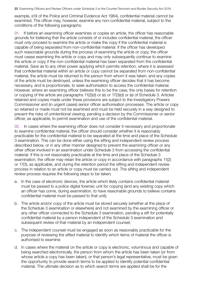example, s19 of the Police and Criminal Evidence Act 1984), confidential material cannot be examined. The officer may, however, examine any non-confidential material, subject to the conditions of the following paragraphs.

91. If before an examining officer examines or copies an article, the officer has reasonable grounds for believing that the article consists of or includes confidential material, the officer must only proceed to examine the article or make the copy if the confidential material is capable of being separated from non-confidential material. If the officer has developed such reasonable grounds during the process of examining the article or copy, the officer must cease examining the article or copy and may only subsequently continue to examine the article or copy if the non-confidential material has been separated from the confidential material. Save as to any other power applying which permits retention, where it is assessed that confidential material within an article or copy cannot be separated from non-confidential material, the article must be returned to the person from whom it was taken, and any copies of the article must be destroyed, unless the examining officer decides that it has become necessary, and is proportionate, to seek authorisation to access the confidential material. However, where an examining officer believes this to be the case, the only bases for retention or copying of the article are paragraphs 11(2)(d) or (e) or 17(3)(d) or (e) of Schedule 3. Articles retained and copies made under these provisions are subject to the Investigatory Powers Commissioner and (in urgent cases) senior officer authorisation processes. The article or copy so retained or made must not be examined and must be held securely in a way designed to prevent the risks of unintentional viewing, pending a decision by the Commissioner or senior officer, as applicable, to permit examination and use of the confidential material.

92. In cases where the examining officer does not consider it necessary and proportionate to examine confidential material, the officer should consider whether it is reasonably practicable for the confidential material to be separated at the time and place of the Schedule 3 examination. This can be done either using the sifting and independent review process described below, or in any other manner designed to prevent the examining officer or any other officer involved in an examination under Schedule 3 from accessing the confidential material. If this is not reasonably practicable at the time and place of the Schedule 3 examination, the officer may retain the article or copy in accordance with paragraphs 11(2) or 17(3), as applicable, and during the retention period the sifting and independent review process in relation to an article or copy must be carried out. The sifting and independent review process requires the following steps to be taken;

- a. In the case of electronic devices, the article which likely contains confidential material must be passed to a police digital forensic unit for copying (and any existing copy which an officer has come, during examination, to have reasonable grounds to believe contains confidential material must be passed to that unit);
- b. The article and/or copy of the article must be stored securely (whether at the place of the Schedule 3 examination or elsewhere) and not examined by the examining officer or any other officer connected to the Schedule 3 examination, pending a sift for potentially confidential material by a person independent of the Schedule 3 examination and subsequent review of that material by an independent counsel;
- c. The independent counsel must be engaged as soon as reasonably practicable for the purpose of reviewing the sifted material to identify which items of material the officer is authorised to examine;
- d. In cases where the material on the article or copy is electronic, voluminous and capable of being searched electronically, the person from whom the article has been taken (or from whose article a copy has been taken), or that person's legal representative, must be given the opportunity to provide search terms to be applied to identify potential confidential material. The ultimate decision as to which search terms are applied shall be for the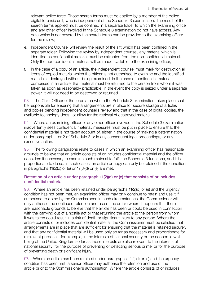<span id="page-25-0"></span>relevant police force. Those search terms must be applied by a member of the police digital forensic unit, who is independent of the Schedule 3 examination. The result of the search terms applied must be confined in a separate folder to which the examining officer and any other officer involved in the Schedule 3 examination do not have access. Any data which is not covered by the search terms can be provided to the examining officer for the review;

- e. Independent Counsel will review the result of the sift which has been confined in the separate folder. Following the review by independent counsel, any material which is identified as confidential material must be extracted from the non-confidential material. Only the non-confidential material will be made available to the examining officer;
- f. In the case of a copy of an article, the independent counsel must mark for destruction all items of copied material which the officer is not authorised to examine and the identified material is destroyed without being examined. In the case of confidential material comprised in an article, that material must be returned to the person from whom it was taken as soon as reasonably practicable. In the event the copy is seized under a separate power, it will not need to be destroyed or returned.

93. The Chief Officer of the force area where the Schedule 3 examination takes place shall be responsible for ensuring that arrangements are in place for secure storage of articles and copies pending independent counsel's review and that in the case of digital copies, the available technology does not allow for the retrieval of destroyed material.

94. Where an examining officer or any other officer involved in the Schedule 3 examination inadvertently sees confidential material, measures must be put in place to ensure that the confidential material is not taken account of, either in the course of making a determination under paragraph 1 or 2 of Schedule 3 or in any subsequent legal proceedings, or any executive action.

95. The following paragraphs relate to cases in which an examining officer has reasonable grounds to believe that an article consists of or includes confidential material and the officer considers it necessary to examine such material to fulfil the Schedule 3 functions, and it is proportionate to do so. In such cases, an article or copy can only be retained if the conditions in paragraphs 11(2)(d) or (e) or 17(3)(d) or (e) are met.

### Retention of an article under paragraph 11(2)(d) or (e) that consists of or includes confidential material

96. Where an article has been retained under paragraphs 11(2)(d) or (e) and the urgency condition has not been met, an examining officer may only continue to retain and use it if authorised to do so by the Commissioner. In such circumstances, the Commissioner will only authorise the continued retention and use of the article where it appears that there are reasonable grounds to believe that the article has been or could be used in connection with the carrying out of a hostile act or that returning the article to the person from whom it was taken could result in a risk of death or significant injury to any person. Where the article consists of or includes confidential material, the Commissioner must be satisfied that arrangements are in place that are sufficient for ensuring that the material is retained securely and that any confidential material will be used only so far as necessary and proportionate for a relevant purpose – for example, in the interests of national security or the economic wellbeing of the United Kingdom so far as those interests are also relevant to the interests of national security; for the purpose of preventing or detecting serious crime; or for the purpose of preventing death or significant injury.

97. Where an article has been retained under paragraphs 11(2)(d) or (e) and the urgency condition has been met, a senior officer may authorise the retention and use of the article prior to the Commissioner's authorisation. Where the article consists of or includes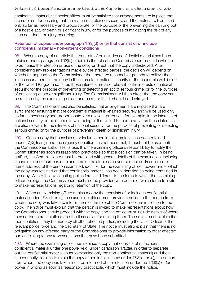<span id="page-26-0"></span>confidential material, the senior officer must be satisfied that arrangements are in place that are sufficient for ensuring that the material is retained securely, and the material will be used only so far as necessary and proportionate for the purpose of the preventing the carrying out of a hostile act, or death or significant injury, or for the purpose of mitigating the risk of any such act, death or injury occurring.

#### Retention of copies under paragraph 17(3)(d) or (e) that consist of or include confidential material – non-urgent conditions

98. Where a copy of an article that consists of or includes confidential material has been retained under paragraph 17(3)(d) or (e), it is the role of the Commissioner to decide whether to authorise the retention or use of the copy or direct that the copy is destroyed. After considering any representations made by the affected parties, the decision will depend on whether it appears to the Commissioner that there are reasonable grounds to believe that it is necessary to retain the copy in the interests of national security or the economic well-being of the United Kingdom so far as those interests are also relevant to the interests of national security; for the purpose of preventing or detecting an act of serious crime; or for the purpose of preventing death or significant injury. The Commissioner will then direct that the copy can be retained by the examining officer and used, or that it should be destroyed.

99. The Commissioner must also be satisfied that arrangements are in place that are sufficient for ensuring that the confidential material is retained securely and will be used only so far as necessary and proportionate for a relevant purpose – for example, in the interests of national security or the economic well-being of the United Kingdom so far as those interests are also relevant to the interests of national security; for the purpose of preventing or detecting serious crime; or for the purpose of preventing death or significant injury.

100. Once a copy that consists of or includes confidential material has been retained under 17(3)(d) or (e) and the urgency condition has not been met, it must not be used until the Commissioner authorises its use. It is the examining officer's responsibility to notify the Commissioner as soon as reasonably practicable so that a decision can be taken. In being notified, the Commissioner must be provided with general details of the examination, including a case reference number, date and time of the stop, name and contact address (email or home address) of the person examined, identifier for the examining officer, power under which the copy was retained and that confidential material has been identified as being contained in the copy. Where the investigating police force is different to the force to which the examining officer belongs, the Commissioner must also be provided with details of which force to invite to make representations regarding retention of the copy.

101. When an examining officer retains a copy that consists of or includes confidential material under 17(3)(d) or (e), the examining officer must provide a notice to the person from whom the copy was taken to inform them of the role of the Commissioner in relation to the copy. The notice must explain that the person is invited to make representations about how the Commissioner should proceed with the copy, and the notice must include details of where to send the representations and the timescales for making them. The notice must explain that representations may be made by all other affected parties, including the Chief Officer of the relevant police force and the Secretary of State. The notice must also explain that there is no obligation on any affected party or the Commissioner to provide information to other affected parties relating to any representations that have been submitted.

102. Where the examining officer has retained a copy that consists of or includes confidential material under one power (e.g. under paragraph 17(3)(a), in order to separate out the confidential material so as to examine only the non-confidential material) and then subsequently decides to retain the copy of confidential items under 17(3)(d) or (e), the person from whom the copy was taken must be informed of the retention under the 17(3)(d) or (e) power in writing as soon as reasonably practicable, which must include the notice.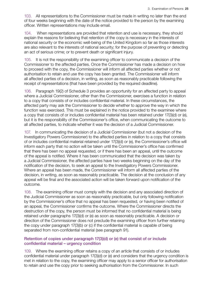<span id="page-27-0"></span>103. All representations to the Commissioner must be made in writing no later than the end of four weeks beginning with the date of the notice provided to the person by the examining officer. Written representations may include email.

104. When representations are provided that retention and use is necessary, they should explain the reasons for believing that retention of the copy is necessary in the interests of national security or the economic well-being of the United Kingdom so far as those interests are also relevant to the interests of national security; for the purpose of preventing or detecting an act of serious crime; or to prevent death or significant injury.

105. It is not the responsibility of the examining officer to communicate a decision of the Commissioner to the affected parties. Once the Commissioner has made a decision on how to proceed with the copy, the Commissioner will inform all affected parties whether or not authorisation to retain and use the copy has been granted. The Commissioner will inform all affected parties of a decision, in writing, as soon as reasonably practicable following the receipt of representations (that have been provided by the required deadline).

106. Paragraph 19(2) of Schedule 3 provides an opportunity for an affected party to appeal where a Judicial Commissioner, other than the Commissioner, exercises a function in relation to a copy that consists of or includes confidential material. In these circumstances, the affected party may ask the Commissioner to decide whether to approve the way in which the function was exercised. This must be explained in the notice provided to the examinee where a copy that consists of or includes confidential material has been retained under 17(3)(d) or (e), but it is the responsibility of the Commissioner's office, when communicating the outcome to all affected parties, to indicate whether it was the decision of a Judicial Commissioner.

107. In communicating the decision of a Judicial Commissioner (but not a decision of the Investigatory Powers Commissioner) to the affected parties in relation to a copy that consists of or includes confidential material retained under 17(3)(d) or (e), the Commissioner's office will inform each party that no action will be taken until the Commissioner's office has confirmed that there has been no appeal requested, or if there has been an appeal, until the outcome of the appeal is notified. Where it has been communicated that the decision was taken by a Judicial Commissioner, the affected parties have two weeks beginning on the day of the notification of the decision, to seek an appeal to the Investigatory Powers Commissioner. Where an appeal has been made, the Commissioner will inform all affected parties of the decision, in writing, as soon as reasonably practicable. The decision at the conclusion of any appeal will be final and the associated action will be taken forward upon notification of the outcome.

108. The examining officer must comply with the decision and any associated direction of the Judicial Commissioner as soon as reasonably practicable, but only following notification by the Commissioner's office that no appeal has been requested, or having been notified of an appeal, the Commissioner confirms the outcome. Where the Commissioner directs the destruction of the copy, the person must be informed that no confidential material is being retained under paragraphs 17(3)(d) or (e) as soon as reasonably practicable. A decision or direction of the Commissioner does not preclude the examining officer from further retaining the copy under paragraph 17(3)(b) or (c) if the confidential material is capable of being separated from non-confidential material (see paragraph 91).

#### Retention of copies under paragraph 17(3)(d) or (e) that consist of or include confidential material – urgency condition

109. Where the examining officer retains a copy of an article that consists of or includes confidential material under paragraph 17(3)(d) or (e) and considers that the urgency condition is met in relation to the copy, the examining officer may apply to a senior officer for authorisation to retain and use the copy prior to seeking authorisation from the Commissioner. In such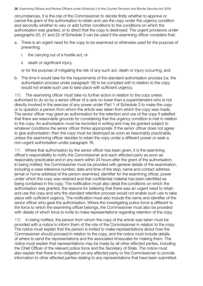circumstances, it is the role of the Commissioner to decide firstly whether to approve or cancel the grant of the authorisation to retain and use the copy under the urgency condition and secondly whether to vary or add further conditions to the conditions on which the authorisation was granted, or to direct that the copy is destroyed. The urgent provisions under paragraphs 20, 21 and 22 of Schedule 3 can be used if the examining officer considers that:

- a. There is an urgent need for the copy to be examined or otherwise used for the purpose of preventing;
	- i. the carrying out of a hostile act, or
	- ii. death or significant injury,

or for the purpose of mitigating the risk of any such act, death or injury occurring, and

b. The time it would take for the requirements of the standard authorisation process (i.e. the authorisation process under paragraph 18) to be complied with in relation to the copy would not enable such use to take place with sufficient urgency.

110. The examining officer must take no further action in relation to the copy unless authorised to do so by a senior officer of a rank no lower than a superintendent who is not directly involved in the exercise of any power under Part 1 of Schedule 3 to make the copy or to question a person from whom the article was taken from which the copy was made. The senior officer may grant an authorisation for the retention and use of the copy if satisfied that there are reasonable grounds for considering that the urgency condition is met in relation to the copy. An authorisation must be recorded in writing and may be granted subject to whatever conditions the senior officer thinks appropriate. If the senior officer does not agree to give authorisation, then the copy must be destroyed as soon as reasonably practicable, unless the examining officer decides to retain the copy under a different power or seek a non-urgent authorisation under paragraph 18.

111. Where that authorisation by the senior officer has been given, it is the examining officer's responsibility to notify the Commissioner and each affected party as soon as reasonably practicable and in any event within 24 hours after the grant of the authorisation. In being notified, the Commissioner must be provided with general details of the examination, including a case reference number, date and time of the stop, name and contact address (email or home address) of the person examined, identifier for the examining officer, power under which the copy was retained and that confidential material has been identified as being contained in the copy. The notification must also detail the conditions on which the authorisation was granted, the reasons for believing that there was an urgent need to retain and use the copy and why the standard retention process would not enable such use to take place with sufficient urgency. The notification must also include the name and identifier of the senior officer who gave the authorisation. Where the investigating police force is different to the force to which the examining officer belongs, the Commissioner must also be provided with details of which force to invite to make representations regarding retention of the copy.

112. In being notified, the person from whom the copy of the article was taken must be provided with a notice to inform them of the role of the Commissioner in relation to the copy. The notice must explain that the person is invited to make representations about how the Commissioner should proceed in relation to the copy, and the notice must include details of where to send the representations and the associated timescales for making them. The notice must explain that representations may be made by all other affected parties, including the Chief Officer of the relevant police force and the Secretary of State. The notice must also explain that there is no obligation on any affected party or the Commissioner to provide information to other affected parties relating to any representations that have been submitted.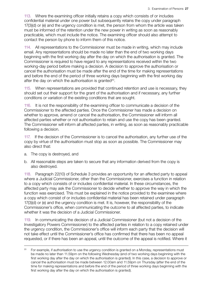113. Where the examining officer initially retains a copy which consists of or includes confidential material under one power but subsequently retains the copy under paragraph 17(3)(d) or (e) and the urgency condition is met, the person from whom the article was taken must be informed of the retention under the new power in writing as soon as reasonably practicable, which must include the notice. The examining officer should also attempt to contact the person by phone to inform them of this notice.

114. All representations to the Commissioner must be made in writing, which may include email. Any representations should be made no later than the end of two working days beginning with the first working day after the day on which the authorisation is granted. The Commissioner is required to have regard to any representations received within the two working-day period before making a decision. A decision to approve the authorisation or cancel the authorisation must be made after the end of the time for making representations and before the end of the period of three working days beginning with the first working day after the day on which the authorisation is granted<sup>20</sup>.

115. When representations are provided that continued retention and use is necessary, they should set out their support for the grant of the authorisation and if necessary, any further conditions or variation of the existing conditions that are sought.

116. It is not the responsibility of the examining officer to communicate a decision of the Commissioner to the affected parties. Once the Commissioner has made a decision on whether to approve, amend or cancel the authorisation, the Commissioner will inform all affected parties whether or not authorisation to retain and use the copy has been granted. The Commissioner will inform all affected parties, in writing, as soon as reasonably practicable following a decision.

117. If the decision of the Commissioner is to cancel the authorisation, any further use of the copy by virtue of the authorisation must stop as soon as possible. The Commissioner may also direct that:

- a. The copy is destroyed, and
- b. All reasonable steps are taken to secure that any information derived from the copy is also destroyed.

118. Paragraph 22(10) of Schedule 3 provides an opportunity for an affected party to appeal where a Judicial Commissioner, other than the Commissioner, exercises a function in relation to a copy which consists of or includes confidential material. In these circumstances, the affected party may ask the Commissioner to decide whether to approve the way in which the function was exercised. This must be explained in the notice provided to the examinee where a copy which consist of or includes confidential material has been retained under paragraph 17(3)(d) or (e) and the urgency condition is met. It is, however, the responsibility of the Commissioner's office, when communicating the outcome to all affected parties, to indicate whether it was the decision of a Judicial Commissioner.

119. In communicating the decision of a Judicial Commissioner (but not a decision of the Investigatory Powers Commissioner) to the affected parties in relation to a copy retained under the urgency condition, the Commissioner's office will inform each party that the decision will not take effect until the Commissioner's office has confirmed that there has been no appeal requested, or if there has been an appeal, until the outcome of the appeal is notified. Where it

<sup>&</sup>lt;sup>20</sup> For example, if authorisation to use the urgency condition is granted on a Monday, representations must be made no later than 11.59pm on the following Wednesday (end of two working days beginning with the first working day after the day on which the authorisation is granted). In this case, a decision to approve or cancel the authorisation must be made between 12.00am and 11.59pm on Thursday (after the end of the time for making representations and before the end of the period of three working days beginning with the first working day after the day on which the authorisation is granted).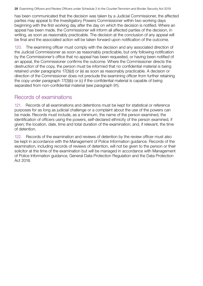<span id="page-30-0"></span>has been communicated that the decision was taken by a Judicial Commissioner, the affected parties may appeal to the Investigatory Powers Commissioner within two working days beginning with the first working day after the day on which the decision is notified. Where an appeal has been made, the Commissioner will inform all affected parties of the decision, in writing, as soon as reasonably practicable. The decision at the conclusion of any appeal will be final and the associated action will be taken forward upon notification of the outcome.

120. The examining officer must comply with the decision and any associated direction of the Judicial Commissioner as soon as reasonably practicable, but only following notification by the Commissioner's office that no appeal has been requested, or having been notified of an appeal, the Commissioner confirms the outcome. Where the Commissioner directs the destruction of the copy, the person must be informed that no confidential material is being retained under paragraphs 17(3)(d) or (e) as soon as reasonably practicable. A decision or direction of the Commissioner does not preclude the examining officer from further retaining the copy under paragraph 17(3)(b) or (c) if the confidential material is capable of being separated from non-confidential material (see paragraph 91).

# Records of examinations

121. Records of all examinations and detentions must be kept for statistical or reference purposes for as long as judicial challenge or a complaint about the use of the powers can be made. Records must include, as a minimum, the name of the person examined, the identification of officers using the powers, self-declared ethnicity of the person examined, if given; the location, date, time and total duration of the examination; and, if relevant, the time of detention.

122. Records of the examination and reviews of detention by the review officer must also be kept in accordance with the Management of Police Information guidance. Records of the examination, including records of reviews of detention, will not be given to the person or their solicitor at the time of the examination but will be managed in accordance with Management of Police Information guidance, General Data Protection Regulation and the Data Protection Act 2018.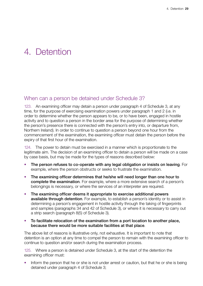# <span id="page-31-0"></span>4. Detention

# When can a person be detained under Schedule 3?

123. An examining officer may detain a person under paragraph 4 of Schedule 3, at any time, for the purpose of exercising examination powers under paragraph 1 and 2 (i.e. in order to determine whether the person appears to be, or to have been, engaged in hostile activity and to question a person in the border area for the purpose of determining whether the person's presence there is connected with the person's entry into, or departure from, Northern Ireland). In order to continue to question a person beyond one hour from the commencement of the examination, the examining officer must detain the person before the expiry of that first hour of the examination.

124. The power to detain must be exercised in a manner which is proportionate to the legitimate aim. The decision of an examining officer to detain a person will be made on a case by case basis, but may be made for the types of reasons described below:

- The person refuses to co-operate with any legal obligation or insists on leaving. For example, where the person obstructs or seeks to frustrate the examination.
- The examining officer determines that he/she will need longer than one hour to complete the examination. For example, where a more extensive search of a person's belongings is necessary, or where the services of an interpreter are required.
- The examining officer deems it appropriate to exercise additional powers available through detention. For example, to establish a person's identity or to assist in determining a person's engagement in hostile activity through the taking of fingerprints and samples (paragraphs 34 and 42 of Schedule 3), or where it is necessary to carry out a strip search (paragraph 8(5) of Schedule 3).
- To facilitate relocation of the examination from a port location to another place, because there would be more suitable facilities at that place.

The above list of reasons is illustrative only, not exhaustive. It is important to note that detention is an option at any time to compel the person to remain with the examining officer to continue to question and/or search during the examination process.

125. Where a person is detained under Schedule 3, at the start of the detention the examining officer must:

• Inform the person that he or she is not under arrest or caution, but that he or she is being detained under paragraph 4 of Schedule 3;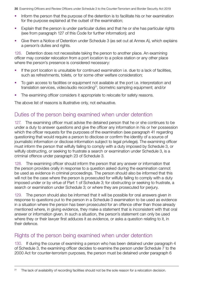- <span id="page-32-0"></span>• Inform the person that the purpose of the detention is to facilitate his or her examination for the purpose explained at the outset of the examination;
- Explain that the person is under particular duties and that he or she has particular rights (see from paragraph 127 of this Code for further information); and
- Give them a Notice of Detention under Schedule 3 (as set out at Annex A), which explains a person's duties and rights.

126. Detention does not necessitate taking the person to another place. An examining officer may consider relocation from a port location to a police station or any other place where the person's presence is considered necessary:

- If the port location is unsuitable for continued examination i.e. due to a lack of facilities, such as refreshments, toilets, or for some other welfare consideration;
- To gain access to facilities or equipment not available at the port i.e. interpretation and translation services, video/audio recording<sup>21</sup>, biometric sampling equipment; and/or
- The examining officer considers it appropriate to relocate for safety reasons.

The above list of reasons is illustrative only, not exhaustive.

# Duties of the person being examined when under detention

127. The examining officer must advise the detained person that he or she continues to be under a duty to answer questions and give the officer any information in his or her possession which the officer requests for the purposes of the examination (see paragraph 41 regarding questioning that would require a person to disclose or confirm the identity of a source of journalistic information or disclose information subject to legal privilege). The examining officer must inform the person that wilfully failing to comply with a duty imposed by Schedule 3, or wilfully obstructing, or seeking to frustrate a search or examination under Schedule 3, is a criminal offence under paragraph 23 of Schedule 3.

128. The examining officer should inform the person that any answer or information that the person provides orally in response to a question asked during the examination cannot be used as evidence in criminal proceedings. The person should also be informed that this will not be the case where the person is prosecuted for wilfully failing to comply with a duty imposed under or by virtue of Part 1 of Schedule 3; for obstructing or seeking to frustrate, a search or examination under Schedule 3; or where they are prosecuted for perjury.

129. The person should also be informed that it will be possible for oral answers given in response to questions put to the person in a Schedule 3 examination to be used as evidence in a situation where the person has been prosecuted for an offence other than those already mentioned where, in giving evidence, they make a statement that is inconsistent with that oral answer or information given. In such a situation, the person's statement can only be used where they or their lawyer first adduces it as evidence, or asks a question relating to it, in their defence.

# Rights of the person being examined when under detention

130. If during the course of examining a person who has been detained under paragraph 4 of Schedule 3, the examining officer decides to examine the person under Schedule 7 to the 2000 Act for counter-terrorism purposes, the person must be detained under paragraph 6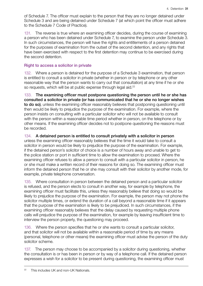<span id="page-33-0"></span>of Schedule 7. The officer must explain to the person that they are no longer detained under Schedule 3 and are being detained under Schedule 7 (at which point the officer must adhere to the Schedule 7 Code of Practice).

131. The reverse is true where an examining officer decides, during the course of examining a person who has been detained under Schedule 7, to examine the person under Schedule 3. In such circumstances, the person will have the rights and entitlements of a person detained for the purposes of examination from the outset of the second detention, and any rights that have been exercised with respect to the first detention may continue to be exercised during the second detention.

#### Right to access a solicitor in private

132. Where a person is detained for the purpose of a Schedule 3 examination, that person is entitled to consult a solicitor in private (whether in person or by telephone or any other reasonable way that the person wants to carry out that consultation) at any time if he or she so requests, which will be at public expense through legal aid.<sup>22</sup>

133. The examining officer must postpone questioning the person until he or she has consulted a solicitor in private (or has communicated that he or she no longer wishes to do so), unless the examining officer reasonably believes that postponing questioning until then would be likely to prejudice the purpose of the examination. For example, where the person insists on consulting with a particular solicitor who will not be available to consult with the person within a reasonable time period whether in person, on the telephone or by other means. If the examining officer decides not to postpone questioning the reasons must be recorded.

#### 134. A detained person is entitled to consult privately with a solicitor in person

unless the examining officer reasonably believes that the time it would take to consult a solicitor in person would be likely to prejudice the purpose of the examination. For example, if the detained person's solicitor of choice is a number of hours away and unable to get to the police station or port in sufficient time to allow the examination to proceed. Where the examining officer refuses to allow a person to consult with a particular solicitor in person, he or she must make a written record of their reasons for doing so. The examining officer must inform the detained person that he or she may consult with their solicitor by another mode, for example, private telephone conversation.

135. Where consultation in person between the detained person and a particular solicitor is refused, and the person elects to consult in another way, for example by telephone, the examining officer must facilitate this, unless they reasonably believe that doing so would be likely to prejudice the purpose of the examination. For example, the person may not phone the solicitor multiple times, or extend the duration of a call beyond a reasonable time if it appears that the purpose of the examination is likely to be prejudiced. In such circumstances, if the examining officer reasonably believes that the delay caused by requesting multiple phone calls will prejudice the purpose of the examination, for example by leaving insufficient time to interview the person properly, the questioning may proceed.

136. Where the person specifies that he or she wants to consult a particular solicitor, and that solicitor will not be available within a reasonable period of time by any means (personal, telephone or other means) the examining officer must advise the person of the duty solicitor scheme.

137. The person may choose to be accompanied by a solicitor during questioning, whether the consultation is or has been in person or by way of a telephone call. If the detained person expresses a wish for a solicitor to be present during questioning, the examining officer must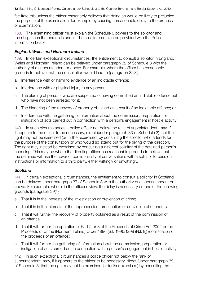facilitate this unless the officer reasonably believes that doing so would be likely to prejudice the purpose of the examination, for example by causing unreasonable delay to the process of examination.

138. The examining officer must explain the Schedule 3 powers to the solicitor and the obligations the person is under. The solicitor can also be provided with the Public Information Leaflet.

#### *England, Wales and Northern Ireland*

139. In certain exceptional circumstances, the entitlement to consult a solicitor in England, Wales and Northern Ireland can be delayed under paragraph 32 of Schedule 3 with the authority of a superintendent or above. For example, where the officer has reasonable grounds to believe that the consultation would lead to (paragraph 32(3)):

- a. Interference with or harm to evidence of an indictable offence;
- b. Interference with or physical injury to any person;
- c. The alerting of persons who are suspected of having committed an indictable offence but who have not been arrested for it;
- d. The hindering of the recovery of property obtained as a result of an indictable offence; or,
- e. Interference with the gathering of information about the commission, preparation, or instigation of acts carried out in connection with a person's engagement in hostile activity.

140. In such circumstances a police officer not below the rank of superintendent, may, if it appears to the officer to be necessary, direct (under paragraph 33 of Schedule 3) that the right may not be exercised (or further exercised) by consulting the solicitor who attends for the purpose of the consultation or who would so attend but for the giving of the direction. The right may instead be exercised by consulting a different solicitor of the detained person's choosing. This may be where the directing officer has reasonable grounds to believe that the detainee will use the cover of confidentiality of conversations with a solicitor to pass on instructions or information to a third party, either wittingly or unwittingly.

### *Scotland*

141. In certain exceptional circumstances, the entitlement to consult a solicitor in Scotland can be delayed under paragraph 37 of Schedule 3 with the authority of a superintendent or above. For example, where, in the officer's view, the delay is necessary on one of the following grounds (paragraph 39(4)):

- a. That it is in the interests of the investigation or prevention of crime;
- b. That it is in the interests of the apprehension, prosecution or conviction of offenders;
- c. That it will further the recovery of property obtained as a result of the commission of an offence;
- d. That it will further the operation of Part 2 or 3 of the Proceeds of Crime Act 2002 or the Proceeds of Crime (Northern Ireland) Order 1996 (S.I. 1996/1299 (N.I. 9)) (confiscation of the proceeds of an offence);
- e. That it will further the gathering of information about the commission, preparation or instigation of acts carried out in connection with a person's engagement in hostile activity.

142. In such exceptional circumstances a police officer not below the rank of superintendent, may, if it appears to the officer to be necessary, direct (under paragraph 39 of Schedule 3) that the right may not be exercised (or further exercised) by consulting the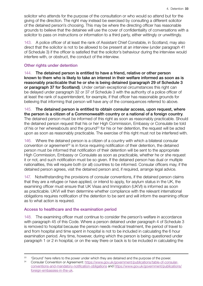<span id="page-35-0"></span>solicitor who attends for the purpose of the consultation or who would so attend but for the giving of the direction. The right may instead be exercised by consulting a different solicitor of the detained person's choosing. This may be where the directing officer has reasonable grounds to believe that the detainee will use the cover of confidentiality of conversations with a solicitor to pass on instructions or information to a third party, either wittingly or unwittingly.

143. A police officer of at least the rank of Assistant Chief Constable, in Scotland, may also direct that the solicitor is not to be allowed to be present at an interview (under paragraph 41 of Schedule 3) if the officer is satisfied that the solicitor's behaviour during the interview would interfere with, or obstruct, the conduct of the interview.

### Other rights under detention

144. The detained person is entitled to have a friend, relative or other person known to them who is likely to take an interest in their welfare informed as soon as is reasonably practicable that he or she is being detained (paragraph 29 of Schedule 3 or paragraph 37 for Scotland). Under certain exceptional circumstances this right can be delayed under paragraph 32 or 37 of Schedule 3 with the authority of a police officer of at least the rank of superintendent, for example, if that officer has reasonable grounds for believing that informing that person will have any of the consequences referred to above.

145. The detained person is entitled to obtain consular access, upon request, where the person is a citizen of a Commonwealth country or a national of a foreign country. The detained person must be informed of this right as soon as reasonably practicable. Should the detained person request that his or her High Commission, Embassy or Consulate be told of his or her whereabouts and the ground<sup>23</sup> for his or her detention, the request will be acted upon as soon as reasonably practicable. The exercise of this right must not be interfered with.

146. Where the detained person is a citizen of a country with which a bilateral consular convention or agreement<sup>24</sup> is in force requiring notification of their detention, the detained person must be informed that notification of their detention will be sent to the appropriate High Commission, Embassy or Consulate as soon as practicable, whether he or she request it or not, and such notification must be so given. If the detained person has dual or multiple nationalities, this will require both (or all) countries to be informed. Consular officers may, if the detained person agrees, visit the detained person and, if required, arrange legal advice.

147. Notwithstanding the provisions of consular conventions, if the detained person claims that they are a refugee or have applied, or intend to apply, for asylum status in the UK, the examining officer must ensure that UK Visas and Immigration (UKVI) is informed as soon as practicable. UKVI will then determine whether compliance with the relevant international obligations requires notification of the detention to be sent and will inform the examining officer as to what action is required.

### Access to healthcare and the examination period

148. The examining officer must continue to consider the person's welfare in accordance with paragraph 45 of this Code. Where a person detained under paragraph 4 of Schedule 3 is removed to hospital because the person needs medical treatment, the period of travel to and from hospital and time spent in hospital is not to be included in calculating the 6 hour examination period. Any time, however, during which the person is being questioned under paragraph 1 or 2 in hospital, or on the way there or back is to be included in calculating the

 $23$  'Ground' here refers to the power under which they are detained and the purpose of the power.

<sup>&</sup>lt;sup>24</sup> Consular Convention or Agreement: [https://www.gov.uk/government/publications/table-of-consular](https://www.gov.uk/government/publications/table-of-consular-conventions-and-mandatory-notification-obligations)[conventions-and-mandatory-notification-obligations](https://www.gov.uk/government/publications/table-of-consular-conventions-and-mandatory-notification-obligations) and [https://www.gov.uk/government/publications/](https://www.gov.uk/government/publications/foreign-embassies-in-the-uk) [foreign-embassies-in-the-uk.](https://www.gov.uk/government/publications/foreign-embassies-in-the-uk)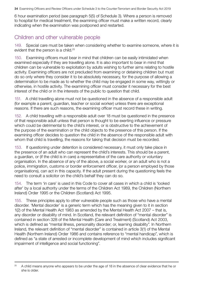<span id="page-36-0"></span>6 hour examination period (see paragraph 5(5) of Schedule 3). Where a person is removed to hospital for medical treatment, the examining officer must make a written record, clearly indicating when the examination was postponed and restarted.

# Children and other vulnerable people

149. Special care must be taken when considering whether to examine someone, where it is evident that the person is a child.<sup>25</sup>

150. Examining officers must bear in mind that children can be easily intimidated when examined especially if they are travelling alone. It is also important to bear in mind that children can be vulnerable to exploitation by adults wishing to further aims relating to hostile activity. Examining officers are not precluded from examining or detaining children but must do so only where they consider it to be absolutely necessary, for the purpose of allowing a determination to be made as to whether the child may be engaged in some way, wittingly or otherwise, in hostile activity. The examining officer must consider it necessary for the best interest of the child or in the interests of the public to question that child.

151. A child travelling alone must not be questioned in the absence of a responsible adult (for example a parent, guardian, teacher or social worker) unless there are exceptional reasons. If there are such reasons, the examining officer must record these in writing.

152. A child travelling with a responsible adult over 18 must be questioned in the presence of that responsible adult unless that person is thought to be exerting influence or pressure which could be detrimental to the child's interest, or is obstructive to the achievement of the purpose of the examination or the child objects to the presence of this person. If the examining officer decides to question the child in the absence of the responsible adult with whom that child is travelling, the reasons for taking that decision must be recorded.

153. If questioning under detention is considered necessary, it must only take place in the presence of an adult who can represent the child's interests. This should be a parent, a guardian, or (if the child is in care) a representative of the care authority or voluntary organisation. In the absence of any of the above, a social worker, or an adult who is not a police, immigration, customs or border enforcement officer, (or a person employed by those organisations), can act in this capacity. If the adult present during the questioning feels the need to consult a solicitor on the child's behalf they can do so.

154. The term 'in care' is used in this Code to cover all cases in which a child is 'looked after' by a local authority under the terms of the Children Act 1989, the Children (Northern Ireland) Order 1995 or the Children (Scotland) Act 1995.

155. These principles apply to other vulnerable people such as those who have a mental disorder. 'Mental disorder' is a generic term which has the meaning given to it in section 1(2) of the Mental Health Act 1983 as amended by the Mental Health Act 2007 – that is, any disorder or disability of mind. In Scotland, the relevant definition of "mental disorder" is contained in section 328 of the Mental Health (Care and Treatment) (Scotland) Act 2003, which is defined as "mental illness, personality disorder; or, learning disability". In Northern Ireland, the relevant definition of "mental disorder" is contained in article 3(1) of the Mental Health (Northern Ireland) Order 1986 and contains reference to "mental handicap", which is defined as "a state of arrested or incomplete development of mind which includes significant impairment of intelligence and social functioning".

<sup>&</sup>lt;sup>25</sup> A child means anyone who appears to be under the age of 18 in the absence of clear evidence that he or she is older.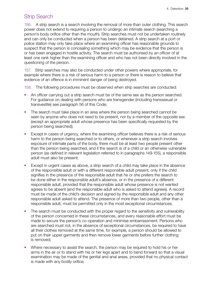# <span id="page-37-0"></span>Strip Search

156. A strip search is a search involving the removal of more than outer clothing. This search power does not extend to requiring a person to undergo an intimate search (searching a person's body orifice other than the mouth). Strip searches must not be undertaken routinely and can only be conducted when a person has been detained. A strip search at a port or police station may only take place where an examining officer has reasonable grounds to suspect that the person is concealing something which may be evidence that the person is or has been engaged in hostile activity. The search must be authorised by an officer of at least one rank higher than the examining officer and who has not been directly involved in the questioning of the person.

157. Strip searches may also be conducted under other powers where appropriate, for example where there is a risk of serious harm to a person or there is reason to believe that evidence of an offence is in imminent danger of being destroyed.

158. The following procedures must be observed when strip searches are conducted:

- An officer carrying out a strip search must be of the same sex as the person searched. For guidance on dealing with persons who are transgender (including transsexual or transvestite) see paragraph 56 of this Code;
- The search must take place in an area where the person being searched cannot be seen by anyone who does not need to be present, nor by a member of the opposite sex (except an appropriate adult whose presence has been specifically requested by the person being searched);
- Except in cases of urgency, where the examining officer believes there is a risk of serious harm to the person being searched or to others, or whenever a strip search involves exposure of intimate parts of the body, there must be at least two people present other than the person being searched, and if the search is of a child or an otherwise vulnerable person (as defined in relevant legislation referred to in paragraphs 149-155), a responsible adult must also be present;
- Except in urgent cases as above, a strip search of a child may take place in the absence of the responsible adult or with a different responsible adult present, only if the child signifies in the presence of the responsible adult that he or she prefers the search to be done either in the responsible adult's absence, or in the presence of a different responsible adult, provided that the responsible adult whose presence is not wanted agrees to be absent (and the responsible adult who is asked to attend agrees). A record must be made of the child's decision and signed by the responsible adult and any other responsible adult asked to attend. The presence of more than two people, other than a responsible adult, must be permitted only in the most exceptional circumstances;
- The search must be conducted with the proper regard to the sensitivity and vulnerability of the person concerned in these circumstances, and every reasonable effort must be made to secure the person's co-operation and minimise embarrassment. Persons who are searched must not, in the absence of exceptional circumstances, be required to have all their clothes removed at the same time, for example, a person should be allowed to put on their upper garments and then remove lower garments before further clothing is removed;
- Where necessary to assist the search, the person may be required to hold his or her arms in the air or to stand with his or her legs apart and to bend forward so that a visual examination may be made of the genital and anal areas, provided that no physical contact is made with any bodily orifice;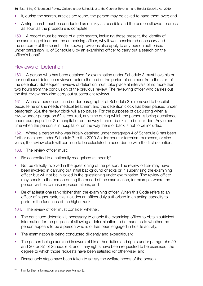- <span id="page-38-0"></span>• If, during the search, articles are found, the person may be asked to hand them over; and
- A strip search must be conducted as quickly as possible and the person allowed to dress as soon as the procedure is complete.

159. A record must be made of a strip search, including those present, the identity of the examining officer and the authorising officer, why it was considered necessary and the outcome of the search. The above provisions also apply to any person authorised under paragraph 10 of Schedule 3 by an examining officer to carry out a search on the officer's behalf.

# Reviews of Detention

160. A person who has been detained for examination under Schedule 3 must have his or her continued detention reviewed before the end of the period of one hour from the start of the detention. Subsequent reviews of detention must take place at intervals of no more than two hours from the conclusion of the previous review. The reviewing officer who carries out the first review may also carry out subsequent reviews.

161. Where a person detained under paragraph 4 of Schedule 3 is removed to hospital because he or she needs medical treatment and the detention clock has been paused under paragraph 5(5), the review clock will also pause. For the purposes of calculating when a review under paragraph 52 is required, any time during which the person is being questioned under paragraph 1 or 2 in hospital or on the way there or back is to be included. Any other time when the person is in hospital or on the way there or back is not to be included.

162. Where a person who was initially detained under paragraph 4 of Schedule 3 has been further detained under Schedule 7 to the 2000 Act for counter-terrorism purposes, or vice versa, the review clock will continue to be calculated in accordance with the first detention.

163. The review officer must:

- $\bullet$  Be accredited to a nationally recognised standard;<sup>26</sup>
- Not be directly involved in the questioning of the person. The review officer may have been involved in carrying out initial background checks or in supervising the examining officer but will not be involved in the questioning under examination. The review officer may speak to the person during the period of the examination, for example where the person wishes to make representations; and
- Be of at least one rank higher than the examining officer. When this Code refers to an officer of higher rank, this includes an officer duly authorised in an acting capacity to perform the functions of the higher rank.

164. The review officer must consider whether:

- The continued detention is necessary to enable the examining officer to obtain sufficient information for the purpose of allowing a determination to be made as to whether the person appears to be a person who is or has been engaged in hostile activity;
- The examination is being conducted diligently and expeditiously;
- The person being examined is aware of his or her duties and rights under paragraphs 29 and 30, or 37, of Schedule 3, and if any rights have been requested to be exercised, the degree to which those requests have been satisfied (or otherwise); and
- Reasonable steps have been taken to satisfy the welfare needs of the person.

 $26$  For further information please see Annex B.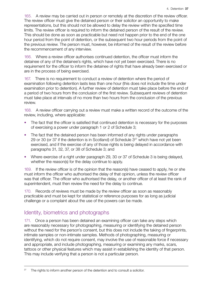<span id="page-39-0"></span>165. A review may be carried out in person or remotely at the discretion of the review officer. The review officer must give the detained person or their solicitor an opportunity to make representations, but this should not be allowed to delay the review within the specified time limits. The review officer is required to inform the detained person of the result of the review. This should be done as soon as practicable but need not happen prior to the end of the one hour period from the point of detention, or the subsequent two hour periods from the point of the previous review. The person must, however, be informed of the result of the review before the recommencement of any interview.

166. Where a review officer authorises continued detention, the officer must inform the detainee of any of the detainee's rights, which have not yet been exercised. There is no requirement for the officer to inform the detainee of rights that have already been exercised or are in the process of being exercised.

167. There is no requirement to conduct a review of detention where the period of examination following detention lasts less than one hour (this does not include the time under examination prior to detention). A further review of detention must take place before the end of a period of two hours from the conclusion of the first review. Subsequent reviews of detention must take place at intervals of no more than two hours from the conclusion of the previous review.

168. A review officer carrying out a review must make a written record of the outcome of the review, including, where applicable:

- The fact that the officer is satisfied that continued detention is necessary for the purposes of exercising a power under paragraph 1 or 2 of Schedule 3;
- The fact that the detained person has been informed of any rights under paragraphs 29 or 30 (or 37 if the detention is in Scotland) of Schedule  $3<sup>27</sup>$  which have not yet been exercised, and if the exercise of any of those rights is being delayed in accordance with paragraphs 31, 32, 37, or 38 of Schedule 3; and
- Where exercise of a right under paragraph 29, 30 or 37 of Schedule 3 is being delayed, whether the reason(s) for the delay continue to apply.

169. If the review officer is of the opinion that the reason(s) have ceased to apply, he or she must inform the officer who authorised the delay of that opinion, unless the review officer was that officer. The officer who authorised the delay, or another officer of at least the rank of superintendent, must then review the need for the delay to continue.

170. Records of reviews must be made by the review officer as soon as reasonably practicable and must be kept for statistical or reference purposes for as long as judicial challenge or a complaint about the use of the powers can be made.

# Identity, biometrics and photographs

171. Once a person has been detained an examining officer can take any steps which are reasonably necessary for photographing, measuring or identifying the detained person without the need for the person's consent, but this does not include the taking of fingerprints, intimate samples or non-intimate samples. Methods of photographing, measuring or identifying, which do not require consent, may involve the use of reasonable force if necessary and appropriate, and include photographing, measuring or examining any marks, scars, tattoos or other physical features which may assist in establishing the identity of that person. This may include verifying that a person is not a particular person.

 $27$  The rights to inform another person of the detention and to consult a solicitor.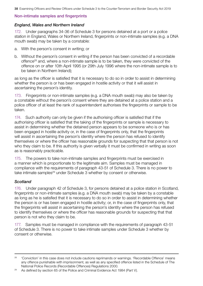### <span id="page-40-0"></span>Non-intimate samples and fingerprints

### *England, Wales and Northern Ireland*

172. Under paragraphs 34-36 of Schedule 3 for persons detained at a port or a police station in England, Wales or Northern Ireland, fingerprints or non-intimate samples (e.g. a DNA mouth swab) may be taken by a constable:

- a. With the person's consent in writing; or
- b. Without the person's consent in writing if the person has been convicted of a recordable offence28 and, where a non-intimate sample is to be taken, they were convicted of the offence on or after 10th April 1995 (or 29th July 1996 where the non-intimate sample is to be taken in Northern Ireland);

as long as the officer is satisfied that it is necessary to do so in order to assist in determining whether the person is or has been engaged in hostile activity or that it will assist in ascertaining the person's identity.

173. Fingerprints or non-intimate samples (e.g. a DNA mouth swab) may also be taken by a constable without the person's consent where they are detained at a police station and a police officer of at least the rank of superintendent authorises the fingerprints or sample to be taken.

174. Such authority can only be given if the authorising officer is satisfied that if the authorising officer is satisfied that the taking of the fingerprints or sample is necessary to assist in determining whether the detained person appears to be someone who is or has been engaged in hostile activity or, in the case of fingerprints only, that the fingerprints will assist in ascertaining the person's identity where the person has refused to identify themselves or where the officer has reasonable grounds for suspecting that that person is not who they claim to be. If this authority is given verbally it must be confirmed in writing as soon as is reasonably practicable.

175. The powers to take non-intimate samples and fingerprints must be exercised in a manner which is proportionate to the legitimate aim. Samples must be managed in compliance with the requirements of paragraph 43-51 of Schedule 3. There is no power to take intimate samples<sup>29</sup> under Schedule 3 whether by consent or otherwise.

### *Scotland*

176. Under paragraph 42 of Schedule 3, for persons detained at a police station in Scotland, fingerprints or non-intimate samples (e.g. a DNA mouth swab) may be taken by a constable as long as he is satisfied that it is necessary to do so in order to assist in determining whether the person is or has been engaged in hostile activity; or, in the case of fingerprints only, that the fingerprints will assist in ascertaining the person's identity where the person has refused to identify themselves or where the officer has reasonable grounds for suspecting that that person is not who they claim to be.

177. Samples must be managed in compliance with the requirements of paragraph 43-51 of Schedule 3. There is no power to take intimate samples under Schedule 3 whether by consent or otherwise.

<sup>&</sup>lt;sup>28</sup> 'Conviction' in this case does not include cautions reprimands or warnings. 'Recordable Offence' means any offence punishable with imprisonment, as well as any specified offence listed in the Schedule of The National Police Records (Recordable Offences) Regulations 2000.

<sup>&</sup>lt;sup>29</sup> As defined by section 65 of the Police and Criminal Evidence Act 1984 (Part V).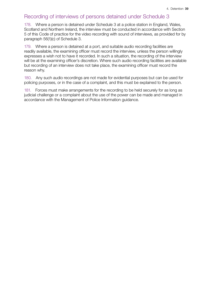# <span id="page-41-0"></span>Recording of interviews of persons detained under Schedule 3

178. Where a person is detained under Schedule 3 at a police station in England, Wales, Scotland and Northern Ireland, the interview must be conducted in accordance with Section 5 of this Code of practice for the video recording with sound of interviews, as provided for by paragraph 56(1)(c) of Schedule 3.

179. Where a person is detained at a port, and suitable audio recording facilities are readily available, the examining officer must record the interview, unless the person willingly expresses a wish not to have it recorded. In such a situation, the recording of the interview will be at the examining officer's discretion. Where such audio recording facilities are available but recording of an interview does not take place, the examining officer must record the reason why.

180. Any such audio recordings are not made for evidential purposes but can be used for policing purposes, or in the case of a complaint, and this must be explained to the person.

181. Forces must make arrangements for the recording to be held securely for as long as judicial challenge or a complaint about the use of the power can be made and managed in accordance with the Management of Police Information guidance.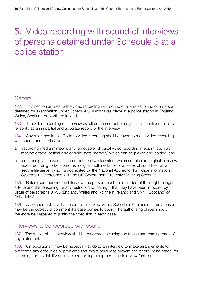# <span id="page-42-0"></span>5. Video recording with sound of interviews of persons detained under Schedule 3 at a police station

# **General**

182. This section applies to the video recording with sound of any questioning of a person detained for examination under Schedule 3 which takes place at a police station in England, Wales, Scotland or Northern Ireland.

183. The video recording of interviews shall be carried out openly to instil confidence in its reliability as an impartial and accurate record of the interview.

184. Any reference in this Code to video recording shall be taken to mean video recording with sound and in this Code:

- a. 'recording medium' means any removable, physical video recording medium (such as magnetic tape, optical disc or solid state memory) which can be played and copied; and
- b. 'secure digital network' is a computer network system which enables an original interview video recording to be stored as a digital multimedia file or a series of such files, on a secure file server which is accredited by the National Accreditor for Police Information Systems in accordance with the UK Government Protective Marking Scheme.

185. Before commencing an interview, the person must be reminded of their right to legal advice and the reasoning for any restriction to that right that may have been imposed by virtue of paragraphs 31-33 (England, Wales and Northern Ireland) and 37-41 (Scotland) of Schedule 3.

186. A decision not to video record an interview with a Schedule 3 detainee for any reason may be the subject of comment if a case comes to court. The authorising officer should therefore be prepared to justify their decision in each case.

# Interviews to be recorded with sound

187. The whole of the interview shall be recorded, including the taking and reading back of any statement.

188. On occasions it may be necessary to delay an interview to make arrangements to overcome any difficulties or problems that might otherwise prevent the record being made, for example, non-availability of suitable recording equipment and interview facilities.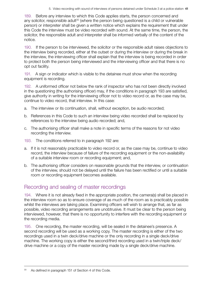<span id="page-43-0"></span>189. Before any interview to which this Code applies starts, the person concerned and any solicitor, responsible adult<sup>30</sup> (where the person being questioned is a child or vulnerable person) or interpreter shall be given a written notice which explains the requirement that under this Code the interview must be video recorded with sound. At the same time, the person, the solicitor, the responsible adult and interpreter shall be informed verbally of the content of the notice.

190. If the person to be interviewed, the solicitor or the responsible adult raises objections to the interview being recorded, either at the outset or during the interview or during the break in the interview, the interviewing officer shall explain that the interview is being recorded in order to protect both the person being interviewed and the interviewing officer and that there is no opt out facility.

191. A sign or indicator which is visible to the detainee must show when the recording equipment is recording.

192. A uniformed officer not below the rank of inspector who has not been directly involved in the questioning (the authorising officer) may, if the conditions in paragraph 193 are satisfied, give authority in writing for the interviewing officer not to video record or, as the case may be, continue to video record, that interview. In this case:

- a. The interview or its continuation, shall, without exception, be audio recorded;
- b. References in this Code to such an interview being video recorded shall be replaced by references to the interview being audio recorded; and,
- c. The authorising officer shall make a note in specific terms of the reasons for not video recording the interview.
- 193. The conditions referred to in paragraph 192 are:
- a. If it is not reasonably practicable to video record or, as the case may be, continue to video record, the interview because of failure of the recording equipment or the non-availability of a suitable interview room or recording equipment; and,
- b. The authorising officer considers on reasonable grounds that the interview, or continuation of the interview, should not be delayed until the failure has been rectified or until a suitable room or recording equipment becomes available.

# Recording and sealing of master recordings

194. Where it is not already fixed in the appropriate position, the camera(s) shall be placed in the interview room so as to ensure coverage of as much of the room as is practicably possible whilst the interviews are taking place. Examining officers will wish to arrange that, as far as possible, video recording arrangements are unobtrusive. It must be clear to the person being interviewed, however, that there is no opportunity to interfere with the recording equipment or the recording media.

195. One recording, the master recording, will be sealed in the detainee's presence. A second recording will be used as a working copy. The master recording is either of the two recordings used in a twin deck/drive machine or the only recording in a single deck/drive machine. The working copy is either the second/third recording used in a twin/triple deck/ drive machine or a copy of the master recording made by a single deck/drive machine.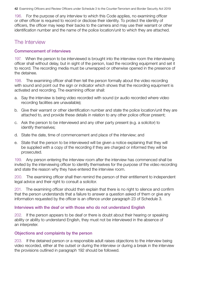<span id="page-44-0"></span>196. For the purpose of any interview to which this Code applies, no examining officer or other officer is required to record or disclose their identity. To protect the identity of officers, the officer may keep their backs to the camera and may use their warrant or other identification number and the name of the police location/unit to which they are attached.

# The Interview

#### Commencement of interviews

197. When the person to be interviewed is brought into the interview room the interviewing officer shall without delay, but in sight of the person, load the recording equipment and set it to record. The recording media must be unwrapped or otherwise opened in the presence of the detainee.

198. The examining officer shall then tell the person formally about the video recording with sound and point out the sign or indicator which shows that the recording equipment is activated and recording. The examining officer shall:

- a. Say the interview is being video recorded with sound (or audio recorded where video recording facilities are unavailable);
- b. Give their warrant or other identification number and state the police location/unit they are attached to, and provide these details in relation to any other police officer present;
- c. Ask the person to be interviewed and any other party present (e.g. a solicitor) to identify themselves;
- d. State the date, time of commencement and place of the interview; and
- e. State that the person to be interviewed will be given a notice explaining that they will be supplied with a copy of the recording if they are charged or informed they will be prosecuted.

199. Any person entering the interview room after the interview has commenced shall be invited by the interviewing officer to identify themselves for the purpose of the video recording and state the reason why they have entered the interview room.

200. The examining officer shall then remind the person of their entitlement to independent legal advice and their right to consult a solicitor.

201. The examining officer should then explain that there is no right to silence and confirm that the person understands that a failure to answer a question asked of them or give any information requested by the officer is an offence under paragraph 23 of Schedule 3.

### Interviews with the deaf or with those who do not understand English

202. If the person appears to be deaf or there is doubt about their hearing or speaking ability or ability to understand English, they must not be interviewed in the absence of an interpreter.

### Objections and complaints by the person

203. If the detained person or a responsible adult raises objections to the interview being video recorded, either at the outset or during the interview or during a break in the interview the provisions outlined in paragraph 192 should be followed.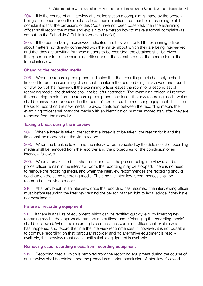<span id="page-45-0"></span>204. If in the course of an interview at a police station a complaint is made by the person being questioned, or on their behalf, about their detention, treatment or questioning or if the complaint is that the provisions of this Code have not been observed, then the examining officer shall record the matter and explain to the person how to make a formal complaint (as set out on the Schedule 3 Public Information Leaflet).

205. If the person being interviewed indicates that they wish to tell the examining officer about matters not directly connected with the matter about which they are being interviewed and that they are unwilling for these matters to be recorded, the detainee shall be given the opportunity to tell the examining officer about these matters after the conclusion of the formal interview.

#### Changing the recording media

206. When the recording equipment indicates that the recording media has only a short time left to run, the examining officer shall so inform the person being interviewed and round off that part of the interview. If the examining officer leaves the room for a second set of recording media, the detainee shall not be left unattended. The examining officer will remove the recording media from the recording equipment and insert the new recording media which shall be unwrapped or opened in the person's presence. The recording equipment shall then be set to record on the new media. To avoid confusion between the recording media, the examining officer shall mark the media with an identification number immediately after they are removed from the recorder.

#### Taking a break during the interview

207. When a break is taken, the fact that a break is to be taken, the reason for it and the time shall be recorded on the video record.

208. When the break is taken and the interview room vacated by the detainee, the recording media shall be removed from the recorder and the procedures for the conclusion of an interview followed.

209. When a break is to be a short one, and both the person being interviewed and a police officer remain in the interview room, the recording may be stopped. There is no need to remove the recording media and when the interview recommences the recording should continue on the same recording media. The time the interview recommences shall be recorded on the video record.

210. After any break in an interview, once the recording has resumed, the interviewing officer must before resuming the interview remind the person of their right to legal advice if they have not exercised it.

### Failure of recording equipment

211. If there is a failure of equipment which can be rectified quickly, e.g. by inserting new recording media, the appropriate procedures outlined under 'changing the recording media' shall be followed. When the recording is resumed the examining officer shall explain what has happened and record the time the interview recommences. If, however, it is not possible to continue recording on that particular recorder and no alternative equipment is readily available, the interview must cease until suitable equipment is available.

### Removing used recording media from recording equipment

212. Recording media which is removed from the recording equipment during the course of an interview shall be retained and the procedures under 'conclusion of interview' followed.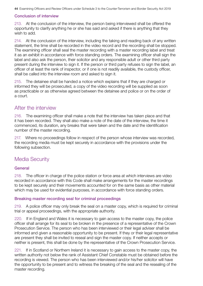#### <span id="page-46-0"></span>Conclusion of interview

213. At the conclusion of the interview, the person being interviewed shall be offered the opportunity to clarify anything he or she has said and asked if there is anything that they wish to add.

214. At the conclusion of the interview, including the taking and reading back of any written statement, the time shall be recorded in the video record and the recording shall be stopped. The examining officer shall seal the master recording with a master recording label and treat it as an exhibit in accordance with force standing orders. The examining officer shall sign the label and also ask the person, their solicitor and any responsible adult or other third party present during the interview to sign it. If the person or third party refuses to sign the label, an officer of at least the rank of inspector, or if one is not readily available, the custody officer, shall be called into the interview room and asked to sign it.

215. The detainee shall be handed a notice which explains that if they are charged or informed they will be prosecuted, a copy of the video recording will be supplied as soon as practicable or as otherwise agreed between the detainee and police or on the order of a court.

# After the interview

216. The examining officer shall make a note that the interview has taken place and that it has been recorded. They shall also make a note of the date of the interview, the time it commenced, its duration, any breaks that were taken and the date and the identification number of the master recording.

217. Where no proceedings follow in respect of the person whose interview was recorded, the recording media must be kept securely in accordance with the provisions under the following subsection.

# Media Security

### General

218. The officer in charge of the police station or force area at which interviews are video recorded in accordance with this Code shall make arrangements for the master recordings to be kept securely and their movements accounted for on the same basis as other material which may be used for evidential purposes, in accordance with force standing orders.

#### Breaking master recording seal for criminal proceedings

219. A police officer may only break the seal on a master copy, which is required for criminal trial or appeal proceedings, with the appropriate authority.

220. If in England and Wales it is necessary to gain access to the master copy, the police officer shall arrange for its seal to be broken in the presence of a representative of the Crown Prosecution Service. The person who has been interviewed or their legal adviser shall be informed and given a reasonable opportunity to be present. If they or their legal representative are present they shall be invited to reseal and sign the master copy. If neither accepts or neither is present, this shall be done by the representative of the Crown Prosecution Service.

221. If in Scotland or Northern Ireland it is necessary to gain access to the master copy, the written authority not below the rank of Assistant Chief Constable must be obtained before the recording is viewed. The person who has been interviewed and/or his/her solicitor will have the opportunity to be present and to witness the breaking of the seal and the resealing of the master recording.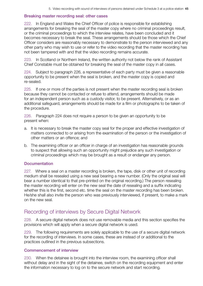#### <span id="page-47-0"></span>Breaking master recording seal: other cases

222. In England and Wales the Chief Officer of police is responsible for establishing arrangements for breaking the seal of the master copy where no criminal proceedings result, or the criminal proceedings to which the interview relates, have been concluded and it becomes necessary to break the seal. These arrangements should be those which the Chief Officer considers are reasonably necessary to demonstrate to the person interviewed and any other party who may wish to use or refer to the video recording that the master recording has not been tampered with and that the video recording remains accurate.

223. In Scotland or Northern Ireland, the written authority not below the rank of Assistant Chief Constable must be obtained for breaking the seal of the master copy in all cases.

224. Subject to paragraph 226, a representative of each party must be given a reasonable opportunity to be present when the seal is broken, and the master copy is copied and re-sealed.

225. If one or more of the parties is not present when the master recording seal is broken because they cannot be contacted or refuse to attend, arrangements should be made for an independent person such as a custody visitor, to be present. Alternatively, or as an additional safeguard, arrangements should be made for a film or photographs to be taken of the procedure.

226. Paragraph 224 does not require a person to be given an opportunity to be present when:

- a. It is necessary to break the master copy seal for the proper and effective investigation of matters connected to or arising from the examination of the person or the investigation of other matters or an offence; and
- b. The examining officer or an officer in charge of an investigation has reasonable grounds to suspect that allowing such an opportunity might prejudice any such investigation or criminal proceedings which may be brought as a result or endanger any person.

#### **Documentation**

227. Where a seal on a master recording is broken, the tape, disk or other unit of recording medium shall be resealed using a new seal bearing a new number. (Only the original seal will bear a number identical to that pre-printed on the original recording.) The person resealing the master recording will enter on the new seal the date of resealing and a suffix indicating whether this is the first, second etc. time the seal on the master recording has been broken. He/she shall also invite the person who was previously interviewed, if present, to make a mark on the new seal.

# Recording of interviews by Secure Digital Network

228. A secure digital network does not use removable media and this section specifies the provisions which will apply when a secure digital network is used.

229. The following requirements are solely applicable to the use of a secure digital network for the recording of interviews. In some cases, these are instead of or additional to the practices outlined in the previous subsections.

#### Commencement of interview

230. When the detainee is brought into the interview room, the examining officer shall without delay and in the sight of the detainee, switch on the recording equipment and enter the information necessary to log on to the secure network and start recording.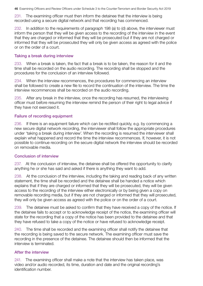<span id="page-48-0"></span>231. The examining officer must then inform the detainee that the interview is being recorded using a secure digital network and that recording has commenced.

In addition to the requirements of paragraph 198 (a) to (d) above, the interviewer must inform the person that they will be given access to the recording of the interview in the event that they are charged or informed that they will be prosecuted but if they are not charged or informed that they will be prosecuted they will only be given access as agreed with the police or on the order of a court.

#### Taking a break during interview

233. When a break is taken, the fact that a break is to be taken, the reason for it and the time shall be recorded on the audio recording. The recording shall be stopped and the procedures for the conclusion of an interview followed.

234. When the interview recommences, the procedures for commencing an interview shall be followed to create a new file to record the continuation of the interview. The time the interview recommences shall be recorded on the audio recording.

235. After any break in the interview, once the recording has resumed, the interviewing officer must before resuming the interview remind the person of their right to legal advice if they have not exercised it.

#### Failure of recording equipment

236. If there is an equipment failure which can be rectified quickly, e.g. by commencing a new secure digital network recording, the interviewer shall follow the appropriate procedures under 'taking a break during interview'. When the recording is resumed the interviewer shall explain what happened and record the time the interview recommences. If, however, it is not possible to continue recording on the secure digital network the interview should be recorded on removable media.

#### Conclusion of interview

237. At the conclusion of interview, the detainee shall be offered the opportunity to clarify anything he or she has said and asked if there is anything they want to add.

238. At the conclusion of the interview, including the taking and reading back of any written statement, the time shall be recorded and the detainee shall be handed a notice which explains that if they are charged or informed that they will be prosecuted, they will be given access to the recording of the interview either electronically or by being given a copy on removable recording media, but if they are not charged or informed that they will prosecuted, they will only be given access as agreed with the police or on the order of a court.

239. The detainee must be asked to confirm that they have received a copy of the notice. If the detainee fails to accept or to acknowledge receipt of the notice, the examining officer will state for the recording that a copy of the notice has been provided to the detainee and that they have refused to take a copy of the notice or have refused to acknowledge receipt.

240. The time shall be recorded and the examining officer shall notify the detainee that the recording is being saved to the secure network. The examining officer must save the recording in the presence of the detainee. The detainee should then be informed that the interview is terminated.

### After the interview

241. The examining officer shall make a note that the interview has taken place, was video and/or audio recorded, its time, duration and date and the original recording's identification number.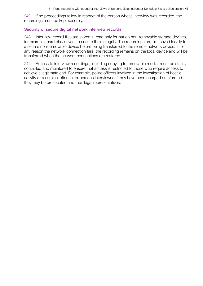<span id="page-49-0"></span>242. If no proceedings follow in respect of the person whose interview was recorded, the recordings must be kept securely.

#### Security of secure digital network interview records

243. Interview record files are stored in read only format on non-removable storage devices, for example, hard disk drives, to ensure their integrity. The recordings are first saved locally to a secure non-removable device before being transferred to the remote network device. If for any reason the network connection fails, the recording remains on the local device and will be transferred when the network connections are restored.

244. Access to interview recordings, including copying to removable media, must be strictly controlled and monitored to ensure that access is restricted to those who require access to achieve a legitimate end. For example, police officers involved in the investigation of hostile activity or a criminal offence, or persons interviewed if they have been charged or informed they may be prosecuted and their legal representatives.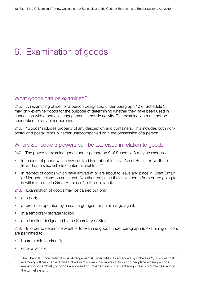# <span id="page-50-0"></span>6. Examination of goods

# What goods can be examined?

245. An examining officer, or a person designated under paragraph 10 of Schedule 3, may only examine goods for the purpose of determining whether they have been used in connection with a person's engagement in hostile activity. The examination must not be undertaken for any other purpose.

246. "Goods" includes property of any description and containers. This includes both nonpostal and postal items, whether unaccompanied or in the possession of a person.

# Where Schedule 3 powers can be exercised in relation to goods

247. The power to examine goods under paragraph 9 of Schedule 3 may be exercised:

- In respect of goods which have arrived in or about to leave Great Britain or Northern Ireland on a ship, vehicle or international train.31
- In respect of goods which have arrived at or are about to leave any place in Great Britain or Northern Ireland on an aircraft (whether the place they have come from or are going to is within or outside Great Britain or Northern Ireland).

248. Examination of goods may be carried out only:

- at a port;
- at premises operated by a sea cargo agent or an air cargo agent;
- at a temporary storage facility;
- at a location designated by the Secretary of State.

249. In order to determine whether to examine goods under paragraph 9, examining officers are permitted to:

- board a ship or aircraft:
- enter a vehicle:

<sup>31</sup> The Channel Tunnel (International Arrangements) Order 1993, as amended by Schedule 3, provides that examining officers can exercise Schedule 3 powers in a railway station or other place where persons embark or disembark, or goods are loaded or unloaded, on or from a through train or shuttle train and in the tunnel system.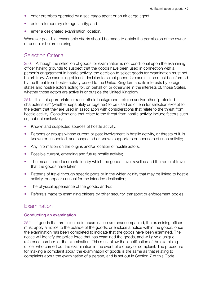- <span id="page-51-0"></span>• enter premises operated by a sea cargo agent or an air cargo agent;
- enter a temporary storage facility; and
- enter a designated examination location.

Wherever possible, reasonable efforts should be made to obtain the permission of the owner or occupier before entering.

# Selection Criteria

250. Although the selection of goods for examination is not conditional upon the examining officer having grounds to suspect that the goods have been used in connection with a person's engagement in hostile activity, the decision to select goods for examination must not be arbitrary. An examining officer's decision to select goods for examination must be informed by the threat from hostile activity posed to the United Kingdom and its interests by foreign states and hostile actors acting for, on behalf of, or otherwise in the interests of, those States, whether those actors are active in or outside the United Kingdom.

251. It is not appropriate for race, ethnic background, religion and/or other "protected characteristics" (whether separately or together) to be used as criteria for selection except to the extent that they are used in association with considerations that relate to the threat from hostile activity. Considerations that relate to the threat from hostile activity include factors such as, but not exclusively:

- Known and suspected sources of hostile activity;
- Persons or groups whose current or past involvement in hostile activity, or threats of it, is known or suspected, and suspected or known supporters or sponsors of such activity;
- Any information on the origins and/or location of hostile actors;
- Possible current, emerging and future hostile activity;
- The means and documentation by which the goods have travelled and the route of travel that the goods have taken;
- Patterns of travel through specific ports or in the wider vicinity that may be linked to hostile activity, or appear unusual for the intended destination;
- The physical appearance of the goods; and/or,
- Referrals made to examining officers by other security, transport or enforcement bodies.

# **Examination**

#### Conducting an examination

252. If goods that are selected for examination are unaccompanied, the examining officer must apply a notice to the outside of the goods, or enclose a notice within the goods, once the examination has been completed to indicate that the goods have been examined. The notice will identify the police force that has examined the goods, and will give a unique reference number for the examination. This must allow the identification of the examining officer who carried out the examination in the event of a query or complaint. The procedure for making a complaint about the examination of goods is the same as that relating to complaints about the examination of a person, and is set out in Section 7 of this Code.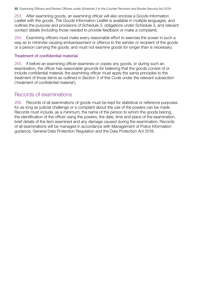<span id="page-52-0"></span>253. After examining goods, an examining officer will also enclose a Goods Information Leaflet with the goods. The Goods Information Leaflet is available in multiple languages, and outlines the purpose and provisions of Schedule 3, obligations under Schedule 3, and relevant contact details (including those needed to provide feedback or make a complaint).

254. Examining officers must make every reasonable effort to exercise the power in such a way as to minimise causing embarrassment or offence to the sender or recipient of the goods or a person carrying the goods, and must not examine goods for longer than is necessary.

#### Treatment of confidential material

255. If before an examining officer examines or copies any goods, or during such an examination, the officer has reasonable grounds for believing that the goods consist of or include confidential material, the examining officer must apply the same principles to the treatment of those items as outlined in Section 3 of this Code under the relevant subsection ('treatment of confidential material').

# Records of examinations

256. Records of all examinations of goods must be kept for statistical or reference purposes for as long as judicial challenge or a complaint about the use of the powers can be made. Records must include, as a minimum, the name of the person to whom the goods belong, the identification of the officer using the powers, the date, time and place of the examination, brief details of the item examined and any damage caused during the examination. Records of all examinations will be managed in accordance with Management of Police Information guidance, General Data Protection Regulation and the Data Protection Act 2018.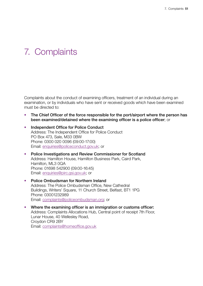# <span id="page-53-0"></span>7. Complaints

Complaints about the conduct of examining officers, treatment of an individual during an examination, or by individuals who have sent or received goods which have been examined must be directed to:

- The Chief Officer of the force responsible for the port/airport where the person has been examined/detained where the examining officer is a police officer; or
- Independent Office for Police Conduct Address: The Independent Office for Police Conduct PO Box 473, Sale, M33 0BW Phone: 0300 020 0096 (09:00-17:00) Email: [enquiries@policeconduct.gov.uk;](mailto:enquiries%40policeconduct.gov.uk?subject=) or
- Police Investigations and Review Commissioner for Scotland Address: Hamilton House, Hamilton Business Park, Caird Park, Hamilton, ML3 0QA Phone: 01698 542900 (09:00-16:45) Email: [enquiries@pirc.gsi.gov.uk](mailto:enquiries%40pirc.gsi.gov.uk?subject=); or
- Police Ombudsman for Northern Ireland Address: The Police Ombudsman Office, New Cathedral Buildings, Writers' Square, 11 Church Street, Belfast, BT1 1PG Phone: 03001232989 Email: [complaints@policeombudsman.org;](mailto:complaints%40policeombudsman.org?subject=) or
- Where the examining officer is an immigration or customs officer: Address: Complaints Allocations Hub, Central point of receipt 7th Floor, Lunar House, 40 Wellesley Road, Croydon CR9 2BY Email: [complaints@homeoffice.gov.uk](mailto:complaints%40homeoffice.gov.uk?subject=)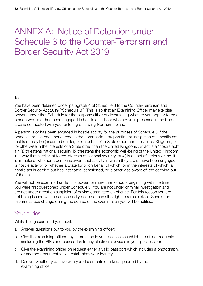# <span id="page-54-0"></span>ANNEX A: Notice of Detention under Schedule 3 to the Counter-Terrorism and Border Security Act 2019

To.............................................................................................................................

You have been detained under paragraph 4 of Schedule 3 to the Counter-Terrorism and Border Security Act 2019 ("Schedule 3"). This is so that an Examining Officer may exercise powers under that Schedule for the purpose either of determining whether you appear to be a person who is or has been engaged in hostile activity or whether your presence in the border area is connected with your entering or leaving Northern Ireland.

A person is or has been engaged in hostile activity for the purposes of Schedule 3 if the person is or has been concerned in the commission, preparation or instigation of a hostile act that is or may be (a) carried out for, or on behalf of, a State other than the United Kingdom, or (b) otherwise in the interests of a State other than the United Kingdom. An act is a "hostile act" if it (a) threatens national security (b) threatens the economic well-being of the United Kingdom in a way that is relevant to the interests of national security, or (c) is an act of serious crime. It is immaterial whether a person is aware that activity in which they are or have been engaged is hostile activity, or whether a State for or on behalf of which, or in the interests of which, a hostile act is carried out has instigated, sanctioned, or is otherwise aware of, the carrying out of the act.

You will not be examined under this power for more than 6 hours beginning with the time you were first questioned under Schedule 3. You are not under criminal investigation and are not under arrest on suspicion of having committed an offence. For this reason you are not being issued with a caution and you do not have the right to remain silent. Should the circumstances change during the course of the examination you will be notified.

# Your duties

Whilst being examined you must:

- a. Answer questions put to you by the examining officer;
- b. Give the examining officer any information in your possession which the officer requests (including the PINs and passcodes to any electronic devices in your possession);
- c. Give the examining officer on request either a valid passport which includes a photograph, or another document which establishes your identity;
- d. Declare whether you have with you documents of a kind specified by the examining officer;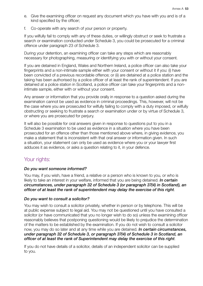- <span id="page-55-0"></span>e. Give the examining officer on request any document which you have with you and is of a kind specified by the officer;
- f. Co-operate with any search of your person or property.

If you wilfully fail to comply with any of these duties, or willingly obstruct or seek to frustrate a search or examination conducted under Schedule 3, you could be prosecuted for a criminal offence under paragraph 23 of Schedule 3.

During your detention, an examining officer can take any steps which are reasonably necessary for photographing, measuring or identifying you with or without your consent.

If you are detained in England, Wales and Northern Ireland, a police officer can also take your fingerprints and a non-intimate sample either with your consent or without it if you: (i) have been convicted of a previous recordable offence; or (ii) are detained at a police station and the taking has been authorised by a police officer of at least the rank of superintendent. If you are detained at a police station in Scotland, a police officer can take your fingerprints and a nonintimate sample, either with or without your consent.

Any answer or information that you provide orally in response to a question asked during the examination cannot be used as evidence in criminal proceedings. This, however, will not be the case where you are prosecuted for wilfully failing to comply with a duty imposed, or wilfully obstructing or seeking to frustrate a search or examination under or by virtue of Schedule 3, or where you are prosecuted for perjury.

It will also be possible for oral answers given in response to questions put to you in a Schedule 3 examination to be used as evidence in a situation where you have been prosecuted for an offence other than those mentioned above where, in giving evidence, you make a statement that is inconsistent with that oral answer or information given. In such a situation, your statement can only be used as evidence where you or your lawyer first adduces it as evidence, or asks a question relating to it, in your defence.

# Your rights:

### *Do you want someone informed?*

You may, if you wish, have a friend, a relative or a person who is known to you, or who is likely to take an interest in your welfare, informed that you are being detained. *In certain circumstances, under paragraph 32 of Schedule 3 (or paragraph 37(4) in Scotland), an officer of at least the rank of superintendent may delay the exercise of this right*.

#### *Do you want to consult a solicitor?*

You may wish to consult a solicitor privately, whether in person or by telephone. This will be at public expense subject to legal aid. You may not be questioned until you have consulted a solicitor (or have communicated that you no longer wish to do so) unless the examining officer reasonably believes that postponing questioning would be likely to prejudice the determination of the matters to be established by the examination. If you do not wish to consult a solicitor now, you may do so later and at any time while you are detained. *In certain circumstances, under paragraph 32 of Schedule 3, or paragraph 37(4) of Schedule 3 in Scotland, an officer of at least the rank of Superintendent may delay the exercise of this right*.

If you do not have details of a solicitor, details of an independent solicitor can be supplied to you.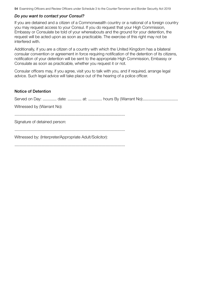#### *Do you want to contact your Consul?*

If you are detained and a citizen of a Commonwealth country or a national of a foreign country you may request access to your Consul. If you do request that your High Commission, Embassy or Consulate be told of your whereabouts and the ground for your detention, the request will be acted upon as soon as practicable. The exercise of this right may not be interfered with.

Additionally, if you are a citizen of a country with which the United Kingdom has a bilateral consular convention or agreement in force requiring notification of the detention of its citizens, notification of your detention will be sent to the appropriate High Commission, Embassy or Consulate as soon as practicable, whether you request it or not.

Consular officers may, if you agree, visit you to talk with you, and if required, arrange legal advice. Such legal advice will take place out of the hearing of a police officer.

#### Notice of Detention

| Witnessed by (Warrant No):                               |
|----------------------------------------------------------|
|                                                          |
| Signature of detained person:                            |
|                                                          |
| Witnessed by: (Interpreter/Appropriate Adult/Solicitor): |
|                                                          |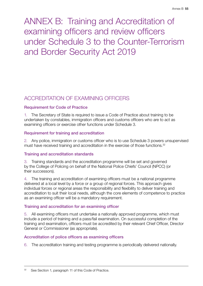<span id="page-57-0"></span>ANNEX B: Training and Accreditation of examining officers and review officers under Schedule 3 to the Counter-Terrorism and Border Security Act 2019

# ACCREDITATION OF EXAMINING OFFICERS

# Requirement for Code of Practice

1. The Secretary of State is required to issue a Code of Practice about training to be undertaken by constables, immigration officers and customs officers who are to act as examining officers or exercise other functions under Schedule 3.

## Requirement for training and accreditation

2. Any police, immigration or customs officer who is to use Schedule 3 powers unsupervised must have received training and accreditation in the exercise of those functions.<sup>32</sup>

### Training and accreditation standards

3. Training standards and the accreditation programme will be set and governed by the College of Policing on behalf of the National Police Chiefs' Council (NPCC) (or their successors).

4. The training and accreditation of examining officers must be a national programme delivered at a local level by a force or a group of regional forces. This approach gives individual forces or regional areas the responsibility and flexibility to deliver training and accreditation to suit their local needs, although the core elements of competence to practice as an examining officer will be a mandatory requirement.

# Training and accreditation for an examining officer

5. All examining officers must undertake a nationally approved programme, which must include a period of training and a pass/fail examination. On successful completion of the training and examination, officers must be accredited by their relevant Chief Officer, Director General or Commissioner (as appropriate).

# Accreditation of police officers as examining officers

6. The accreditation training and testing programme is periodically delivered nationally.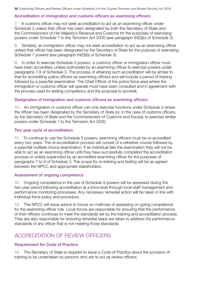#### <span id="page-58-0"></span>Accreditation of immigration and customs officers as examining officers

7. A customs officer may not seek accreditation to act as an examining officer under Schedule 3 unless that officer has been designated by both the Secretary of State and the Commissioners of Her Majesty's Revenue and Customs for the purposes of exercising powers under Schedule 7 to the Terrorism Act 2000 (see paragraph 64(3)(c) of Schedule 3).

8. Similarly, an immigration officer may not seek accreditation to act as an examining officer unless that officer has been designated by the Secretary of State for the purpose of exercising Schedule 7 powers (see paragraph 64(3)(b) of Schedule 3).

9. In order to exercise Schedule 3 powers, a customs officer or immigration officer must have been accredited, unless authorised by an examining officer to exercise powers under paragraphs 7-9 of Schedule 3. The process of attaining such accreditation will be similar to that for accrediting police officers as examining officers and will include a period of training followed by a pass/fail examination. The Chief Officer of the police force area where the immigration or customs officer will operate must have been consulted and in agreement with the process used for testing competency and the proposal to accredit.

#### Designation of immigration and customs officers as examining officers

10. An immigration or customs officer can only exercise functions under Schedule 3 where the officer has been designated by the Secretary of State (or, in the case of customs officers, by the Secretary of State and the Commissioners of Customs and Excise), to exercise similar powers under Schedule 7 to the Terrorism Act 2000.

#### Two year cycle of accreditation

11. To continue to use the Schedule 3 powers, examining officers must be re-accredited every two years. The re-accreditation process will consist of a refresher course followed by a pass/fail multiple choice examination. If an individual fails the examination they will not be able to act as an examining officer until they have successfully completed the accreditation process or unless supervised by an accredited examining officer for the purposes of paragraphs 7 to 9 of Schedule 3. The scope for re-training and testing will be as agreed between the NPCC and appropriate stakeholders.

#### Assessment of ongoing competence

12. Ongoing competence in the use of Schedule 3 powers will be assessed during the two year period following accreditation at a force level through local staff management and performance monitoring processes. Any necessary remedial action will be taken in line with individual force policy and procedure.

13. The NPCC will issue advice to forces on methods of assessing on-going competence for the examining officer role. Local forces are responsible for ensuring that the performance of their officers continues to meet the standards set by the training and accreditation process. They are also responsible for ensuring remedial steps are taken to address the performance standards of any officer that is not meeting those standards.

# ACCREDITATION OF REVIEW OFFICERS

#### Requirement for Code of Practice

14. The Secretary of State is required to issue a Code of Practice about the provision of training to be undertaken by persons who are to act as review officers.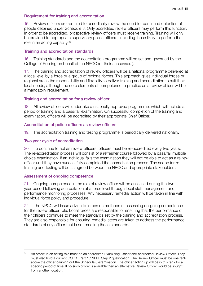#### <span id="page-59-0"></span>Requirement for training and accreditation

15. Review officers are required to periodically review the need for continued detention of people detained under Schedule 3. Only accredited review officers may perform this function. In order to be accredited, prospective review officers must receive training. Training will only be provided to appropriate supervisory police officers, including those likely to perform the role in an acting capacity.<sup>33</sup>

#### Training and accreditation standards

16. Training standards and the accreditation programme will be set and governed by the College of Policing on behalf of the NPCC (or their successors).

17. The training and accreditation of review officers will be a national programme delivered at a local level by a force or a group of regional forces. This approach gives individual forces or regional areas the responsibility and flexibility to deliver training and accreditation to suit their local needs, although the core elements of competence to practice as a review officer will be a mandatory requirement.

#### Training and accreditation for a review officer

18. All review officers will undertake a nationally approved programme, which will include a period of training and a pass/fail examination. On successful completion of the training and examination, officers will be accredited by their appropriate Chief Officer.

#### Accreditation of police officers as review officers

19. The accreditation training and testing programme is periodically delivered nationally.

#### Two year cycle of accreditation

20. To continue to act as review officers, officers must be re-accredited every two years. The re-accreditation process will consist of a refresher course followed by a pass/fail multiple choice examination. If an individual fails the examination they will not be able to act as a review officer until they have successfully completed the accreditation process. The scope for retraining and testing will be as agreed between the NPCC and appropriate stakeholders.

#### Assessment of ongoing competence

21. Ongoing competence in the role of review officer will be assessed during the two year period following accreditation at a force level through local staff management and performance monitoring processes. Any necessary remedial action will be taken in line with individual force policy and procedure.

22. The NPCC will issue advice to forces on methods of assessing on-going competence for the review officer role. Local forces are responsible for ensuring that the performance of their officers continues to meet the standards set by the training and accreditation process. They are also responsible for ensuring remedial steps are taken to address the performance standards of any officer that is not meeting those standards.

<sup>33</sup> An officer in an acting role must be an accredited Examining Officer and accredited Review Officer. They must also hold a current OSPRE Part 1 / NPPF Step 2 qualification. The Review Officer must be one rank above the officer carrying out the Schedule 3 examination. The officer acting up will be in this rank for a specific period of time. If no such officer is available then an alternative Review Officer would be sought from another location.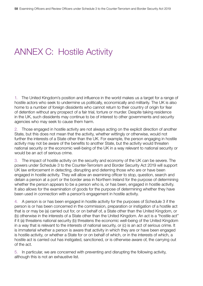# <span id="page-60-0"></span>ANNEX C: Hostile Activity

1. The United Kingdom's position and influence in the world makes us a target for a range of hostile actors who seek to undermine us politically, economically and militarily. The UK is also home to a number of foreign dissidents who cannot return to their country of origin for fear of detention without any prospect of a fair trial, torture or murder. Despite taking residence in the UK, such dissidents may continue to be of interest to other governments and security agencies who may seek to cause them harm.

2. Those engaged in hostile activity are not always acting on the explicit direction of another State, but this does not mean that the activity, whether wittingly or otherwise, would not further the interests of a State other than the UK. For example, the person engaging in hostile activity may not be aware of the benefits to another State, but the activity would threaten national security or the economic well-being of the UK in a way relevant to national security or would be an act of serious crime.

3. The impact of hostile activity on the security and economy of the UK can be severe. The powers under Schedule 3 to the Counter-Terrorism and Border Security Act 2019 will support UK law enforcement in detecting, disrupting and deterring those who are or have been engaged in hostile activity. They will allow an examining officer to stop, question, search and detain a person at a port or the border area in Northern Ireland for the purpose of determining whether the person appears to be a person who is, or has been, engaged in hostile activity. It also allows for the examination of goods for the purpose of determining whether they have been used in connection with a person's engagement in hostile activity.

4. A person is or has been engaged in hostile activity for the purposes of Schedule 3 if the person is or has been concerned in the commission, preparation or instigation of a hostile act that is or may be (a) carried out for, or on behalf of, a State other than the United Kingdom, or (b) otherwise in the interests of a State other than the United Kingdom. An act is a "hostile act" if it (a) threatens national security (b) threatens the economic well-being of the United Kingdom in a way that is relevant to the interests of national security, or (c) is an act of serious crime. It is immaterial whether a person is aware that activity in which they are or have been engaged is hostile activity, or whether a State for or on behalf of which, or in the interests of which, a hostile act is carried out has instigated, sanctioned, or is otherwise aware of, the carrying out of the act.

5. In particular, we are concerned with preventing and disrupting the following activity, although this is not an exhaustive list.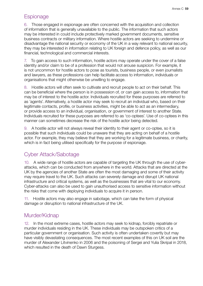# <span id="page-61-0"></span>**Espionage**

6. Those engaged in espionage are often concerned with the acquisition and collection of information that is generally unavailable to the public. The information that such actors may be interested in could include protectively marked government documents, sensitive business contracts or military information. Where hostile actors are seeking to undermine or disadvantage the national security or economy of the UK in a way relevant to national security, they may be interested in information relating to UK foreign and defence policy, as well as our financial, technological and commercial interests.

7. To gain access to such information, hostile actors may operate under the cover of a false identity and/or claim to be of a profession that would not arouse suspicion. For example, it is not uncommon for hostile actors to pose as tourists, business people, or even journalists and lawyers, as these professions can help facilitate access to information, individuals or organisations that might otherwise be unwilling to engage.

8. Hostile actors will often seek to cultivate and recruit people to act on their behalf. This can be beneficial where the person is in possession of, or can gain access to, information that may be of interest to the hostile actor. Individuals recruited for these purposes are referred to as 'agents'. Alternatively, a hostile actor may seek to recruit an individual who, based on their legitimate contacts, profile, or business activities, might be able to act as an intermediary, or provide access to an individual, organisation, or government of interest to another State. Individuals recruited for these purposes are referred to as 'co-optees'. Use of co-optees in this manner can sometimes decrease the risk of the hostile actor being detected.

9. A hostile actor will not always reveal their identity to their agent or co-optee, so it is possible that such individuals could be unaware that they are acting on behalf of a hostile actor. For example, they may believe that they are working for a legitimate business, or charity, which is in fact being utilised specifically for the purpose of espionage.

# Cyber Attack/Sabotage

10. A wide range of hostile actors are capable of targeting the UK through the use of cyberattacks, which can be conducted from anywhere in the world. Attacks that are directed at the UK by the agencies of another State are often the most damaging and some of their activity may require travel to the UK. Such attacks can severely damage and disrupt UK national infrastructure and critical systems, as well as the businesses that are vital to our economy. Cyber-attacks can also be used to gain unauthorised access to sensitive information without the risks that come with deploying individuals to acquire it in person.

11. Hostile actors may also engage in sabotage, which can take the form of physical damage or disruption to national infrastructure of the UK.

# Murder/Kidnap

12. In the most extreme cases, hostile actors may seek to kidnap, forcibly repatriate or murder individuals residing in the UK. These individuals may be outspoken critics of a particular government or organisation. Such activity is often undertaken covertly but may have visibly devastating consequences. The most recent examples of this on UK soil are the murder of Alexander Litvinenko in 2006 and the poisoning of Sergei and Yulia Skripal in 2018, which resulted in the death of Dawn Sturgess.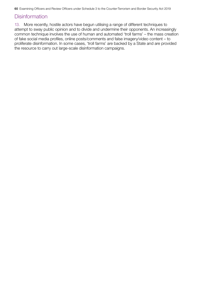# <span id="page-62-0"></span>**Disinformation**

13. More recently, hostile actors have begun utilising a range of different techniques to attempt to sway public opinion and to divide and undermine their opponents. An increasingly common technique involves the use of human and automated 'troll farms' – the mass creation of fake social media profiles, online posts/comments and false imagery/video content – to proliferate disinformation. In some cases, 'troll farms' are backed by a State and are provided the resource to carry out large-scale disinformation campaigns.